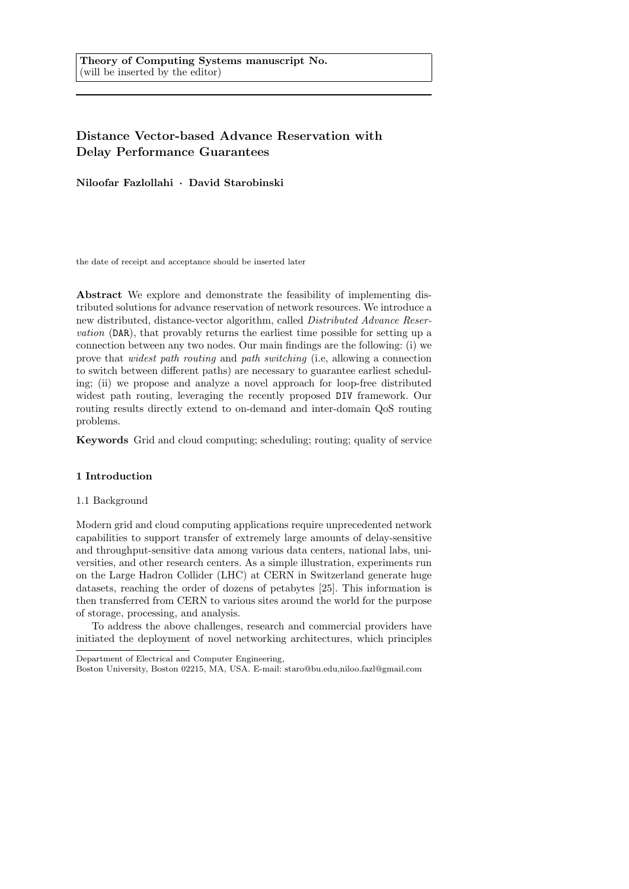# **Distance Vector-based Advance Reservation with Delay Performance Guarantees**

**Niloofar Fazlollahi** *·* **David Starobinski**

the date of receipt and acceptance should be inserted later

**Abstract** We explore and demonstrate the feasibility of implementing distributed solutions for advance reservation of network resources. We introduce a new distributed, distance-vector algorithm, called *Distributed Advance Reservation* (DAR), that provably returns the earliest time possible for setting up a connection between any two nodes. Our main findings are the following: (i) we prove that *widest path routing* and *path switching* (i.e, allowing a connection to switch between different paths) are necessary to guarantee earliest scheduling; (ii) we propose and analyze a novel approach for loop-free distributed widest path routing, leveraging the recently proposed DIV framework. Our routing results directly extend to on-demand and inter-domain QoS routing problems.

**Keywords** Grid and cloud computing; scheduling; routing; quality of service

# **1 Introduction**

# 1.1 Background

Modern grid and cloud computing applications require unprecedented network capabilities to support transfer of extremely large amounts of delay-sensitive and throughput-sensitive data among various data centers, national labs, universities, and other research centers. As a simple illustration, experiments run on the Large Hadron Collider (LHC) at CERN in Switzerland generate huge datasets, reaching the order of dozens of petabytes [25]. This information is then transferred from CERN to various sites around the world for the purpose of storage, processing, and analysis.

To address the above challenges, research and commercial providers have initiated the deployment of novel networking architectures, which principles

Department of Electrical and Computer Engineering,

Boston University, Boston 02215, MA, USA. E-mail: staro@bu.edu,niloo.fazl@gmail.com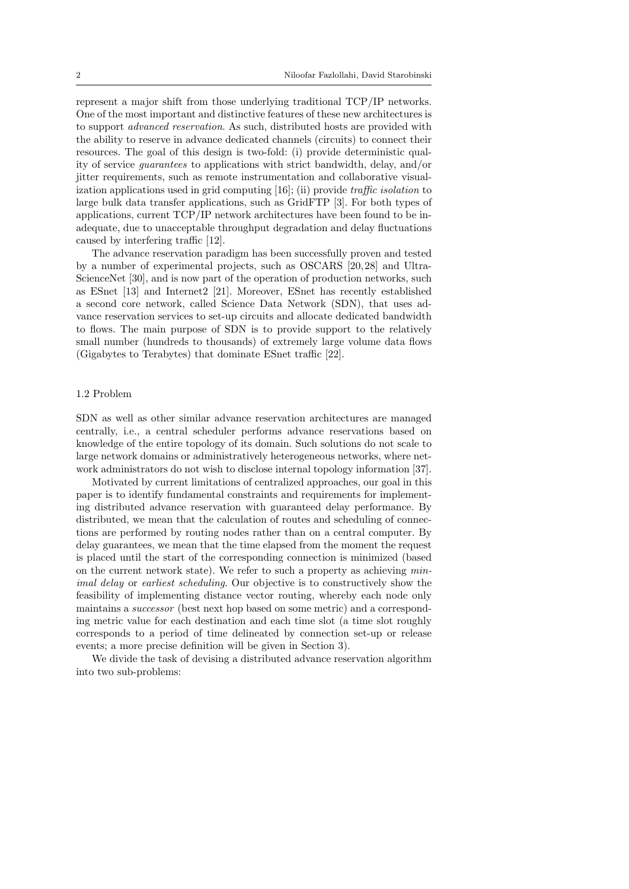represent a major shift from those underlying traditional TCP/IP networks. One of the most important and distinctive features of these new architectures is to support *advanced reservation*. As such, distributed hosts are provided with the ability to reserve in advance dedicated channels (circuits) to connect their resources. The goal of this design is two-fold: (i) provide deterministic quality of service *guarantees* to applications with strict bandwidth, delay, and/or jitter requirements, such as remote instrumentation and collaborative visualization applications used in grid computing [16]; (ii) provide *traffic isolation* to large bulk data transfer applications, such as GridFTP [3]. For both types of applications, current TCP/IP network architectures have been found to be inadequate, due to unacceptable throughput degradation and delay fluctuations caused by interfering traffic [12].

The advance reservation paradigm has been successfully proven and tested by a number of experimental projects, such as OSCARS [20, 28] and Ultra-ScienceNet [30], and is now part of the operation of production networks, such as ESnet [13] and Internet2 [21]. Moreover, ESnet has recently established a second core network, called Science Data Network (SDN), that uses advance reservation services to set-up circuits and allocate dedicated bandwidth to flows. The main purpose of SDN is to provide support to the relatively small number (hundreds to thousands) of extremely large volume data flows (Gigabytes to Terabytes) that dominate ESnet traffic [22].

# 1.2 Problem

SDN as well as other similar advance reservation architectures are managed centrally, i.e., a central scheduler performs advance reservations based on knowledge of the entire topology of its domain. Such solutions do not scale to large network domains or administratively heterogeneous networks, where network administrators do not wish to disclose internal topology information [37].

Motivated by current limitations of centralized approaches, our goal in this paper is to identify fundamental constraints and requirements for implementing distributed advance reservation with guaranteed delay performance. By distributed, we mean that the calculation of routes and scheduling of connections are performed by routing nodes rather than on a central computer. By delay guarantees, we mean that the time elapsed from the moment the request is placed until the start of the corresponding connection is minimized (based on the current network state). We refer to such a property as achieving *minimal delay* or *earliest scheduling*. Our objective is to constructively show the feasibility of implementing distance vector routing, whereby each node only maintains a *successor* (best next hop based on some metric) and a corresponding metric value for each destination and each time slot (a time slot roughly corresponds to a period of time delineated by connection set-up or release events; a more precise definition will be given in Section 3).

We divide the task of devising a distributed advance reservation algorithm into two sub-problems: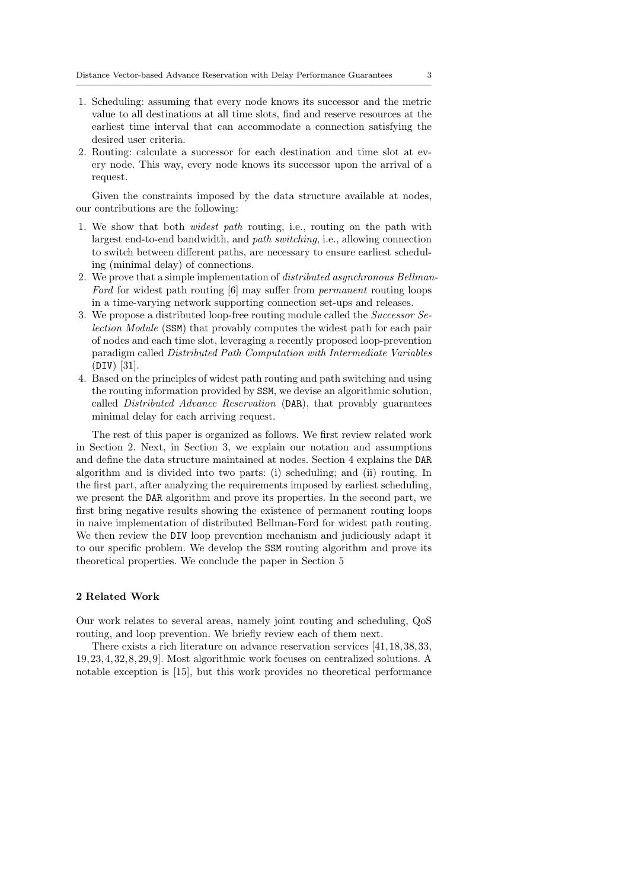- 1. Scheduling: assuming that every node knows its successor and the metric value to all destinations at all time slots, find and reserve resources at the earliest time interval that can accommodate a connection satisfying the desired user criteria.
- 2. Routing: calculate a successor for each destination and time slot at every node. This way, every node knows its successor upon the arrival of a request.

Given the constraints imposed by the data structure available at nodes, our contributions are the following:

- 1. We show that both *widest path* routing, i.e., routing on the path with largest end-to-end bandwidth, and *path switching*, i.e., allowing connection to switch between different paths, are necessary to ensure earliest scheduling (minimal delay) of connections.
- 2. We prove that a simple implementation of *distributed asynchronous Bellman-Ford* for widest path routing [6] may suffer from *permanent* routing loops in a time-varying network supporting connection set-ups and releases.
- 3. We propose a distributed loop-free routing module called the *Successor Selection Module* (SSM) that provably computes the widest path for each pair of nodes and each time slot, leveraging a recently proposed loop-prevention paradigm called *Distributed Path Computation with Intermediate Variables* (DIV) [31].
- 4. Based on the principles of widest path routing and path switching and using the routing information provided by SSM, we devise an algorithmic solution, called *Distributed Advance Reservation* (DAR), that provably guarantees minimal delay for each arriving request.

The rest of this paper is organized as follows. We first review related work in Section 2. Next, in Section 3, we explain our notation and assumptions and define the data structure maintained at nodes. Section 4 explains the DAR algorithm and is divided into two parts: (i) scheduling; and (ii) routing. In the first part, after analyzing the requirements imposed by earliest scheduling, we present the DAR algorithm and prove its properties. In the second part, we first bring negative results showing the existence of permanent routing loops in naive implementation of distributed Bellman-Ford for widest path routing. We then review the DIV loop prevention mechanism and judiciously adapt it to our specific problem. We develop the SSM routing algorithm and prove its theoretical properties. We conclude the paper in Section 5

# **2 Related Work**

Our work relates to several areas, namely joint routing and scheduling, QoS routing, and loop prevention. We briefly review each of them next.

There exists a rich literature on advance reservation services [41, 18, 38, 33, 19, 23, 4, 32, 8, 29, 9]. Most algorithmic work focuses on centralized solutions. A notable exception is [15], but this work provides no theoretical performance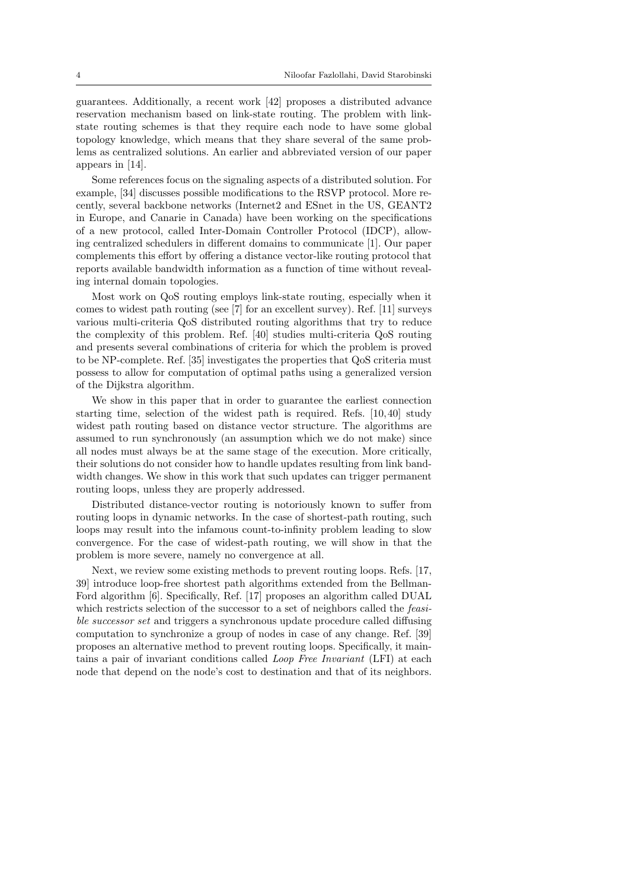guarantees. Additionally, a recent work [42] proposes a distributed advance reservation mechanism based on link-state routing. The problem with linkstate routing schemes is that they require each node to have some global topology knowledge, which means that they share several of the same problems as centralized solutions. An earlier and abbreviated version of our paper appears in [14].

Some references focus on the signaling aspects of a distributed solution. For example, [34] discusses possible modifications to the RSVP protocol. More recently, several backbone networks (Internet2 and ESnet in the US, GEANT2 in Europe, and Canarie in Canada) have been working on the specifications of a new protocol, called Inter-Domain Controller Protocol (IDCP), allowing centralized schedulers in different domains to communicate [1]. Our paper complements this effort by offering a distance vector-like routing protocol that reports available bandwidth information as a function of time without revealing internal domain topologies.

Most work on QoS routing employs link-state routing, especially when it comes to widest path routing (see [7] for an excellent survey). Ref. [11] surveys various multi-criteria QoS distributed routing algorithms that try to reduce the complexity of this problem. Ref. [40] studies multi-criteria QoS routing and presents several combinations of criteria for which the problem is proved to be NP-complete. Ref. [35] investigates the properties that QoS criteria must possess to allow for computation of optimal paths using a generalized version of the Dijkstra algorithm.

We show in this paper that in order to guarantee the earliest connection starting time, selection of the widest path is required. Refs. [10, 40] study widest path routing based on distance vector structure. The algorithms are assumed to run synchronously (an assumption which we do not make) since all nodes must always be at the same stage of the execution. More critically, their solutions do not consider how to handle updates resulting from link bandwidth changes. We show in this work that such updates can trigger permanent routing loops, unless they are properly addressed.

Distributed distance-vector routing is notoriously known to suffer from routing loops in dynamic networks. In the case of shortest-path routing, such loops may result into the infamous count-to-infinity problem leading to slow convergence. For the case of widest-path routing, we will show in that the problem is more severe, namely no convergence at all.

Next, we review some existing methods to prevent routing loops. Refs. [17, 39] introduce loop-free shortest path algorithms extended from the Bellman-Ford algorithm [6]. Specifically, Ref. [17] proposes an algorithm called DUAL which restricts selection of the successor to a set of neighbors called the *feasible successor set* and triggers a synchronous update procedure called diffusing computation to synchronize a group of nodes in case of any change. Ref. [39] proposes an alternative method to prevent routing loops. Specifically, it maintains a pair of invariant conditions called *Loop Free Invariant* (LFI) at each node that depend on the node's cost to destination and that of its neighbors.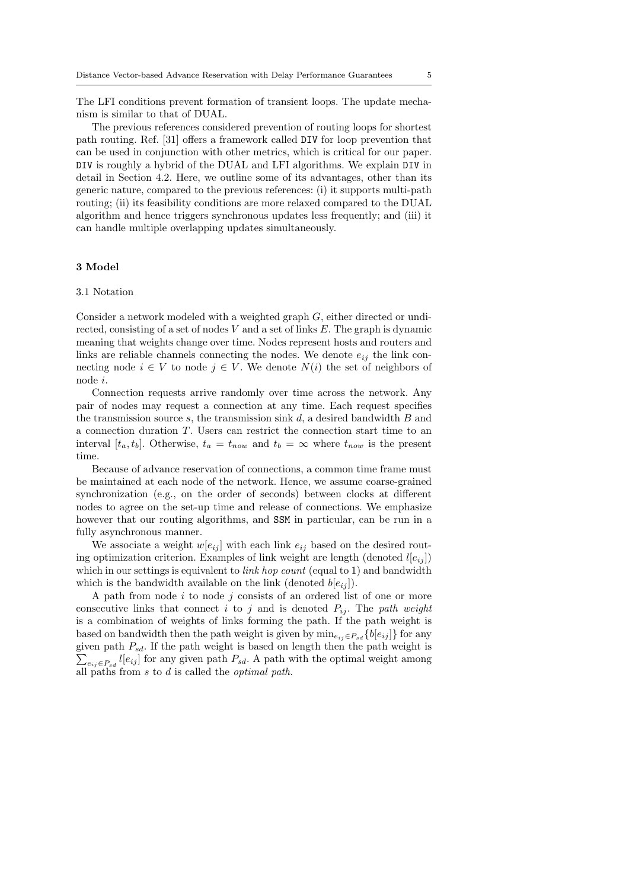The LFI conditions prevent formation of transient loops. The update mechanism is similar to that of DUAL.

The previous references considered prevention of routing loops for shortest path routing. Ref. [31] offers a framework called DIV for loop prevention that can be used in conjunction with other metrics, which is critical for our paper. DIV is roughly a hybrid of the DUAL and LFI algorithms. We explain DIV in detail in Section 4.2. Here, we outline some of its advantages, other than its generic nature, compared to the previous references: (i) it supports multi-path routing; (ii) its feasibility conditions are more relaxed compared to the DUAL algorithm and hence triggers synchronous updates less frequently; and (iii) it can handle multiple overlapping updates simultaneously.

# **3 Model**

#### 3.1 Notation

Consider a network modeled with a weighted graph *G*, either directed or undirected, consisting of a set of nodes *V* and a set of links *E*. The graph is dynamic meaning that weights change over time. Nodes represent hosts and routers and links are reliable channels connecting the nodes. We denote  $e_{ij}$  the link connecting node  $i \in V$  to node  $j \in V$ . We denote  $N(i)$  the set of neighbors of node *i*.

Connection requests arrive randomly over time across the network. Any pair of nodes may request a connection at any time. Each request specifies the transmission source *s*, the transmission sink *d*, a desired bandwidth *B* and a connection duration *T*. Users can restrict the connection start time to an interval  $[t_a, t_b]$ . Otherwise,  $t_a = t_{now}$  and  $t_b = \infty$  where  $t_{now}$  is the present time.

Because of advance reservation of connections, a common time frame must be maintained at each node of the network. Hence, we assume coarse-grained synchronization (e.g., on the order of seconds) between clocks at different nodes to agree on the set-up time and release of connections. We emphasize however that our routing algorithms, and SSM in particular, can be run in a fully asynchronous manner.

We associate a weight  $w[e_{ij}]$  with each link  $e_{ij}$  based on the desired routing optimization criterion. Examples of link weight are length (denoted  $l[e_{ij}]$ ) which in our settings is equivalent to *link hop count* (equal to 1) and bandwidth which is the bandwidth available on the link (denoted  $b[e_{ij}]$ ).

A path from node *i* to node *j* consists of an ordered list of one or more consecutive links that connect *i* to *j* and is denoted  $P_{ij}$ . The *path weight* is a combination of weights of links forming the path. If the path weight is based on bandwidth then the path weight is given by  $\min_{e_{ij} \in P_{sd}} \{b[e_{ij}]\}$  for any given path *Psd*. If the path weight is based on length then the path weight is  $\sum_{e_{ij} \in P_{sd}} l[e_{ij}]$  for any given path  $P_{sd}$ . A path with the optimal weight among all paths from *s* to *d* is called the *optimal path*.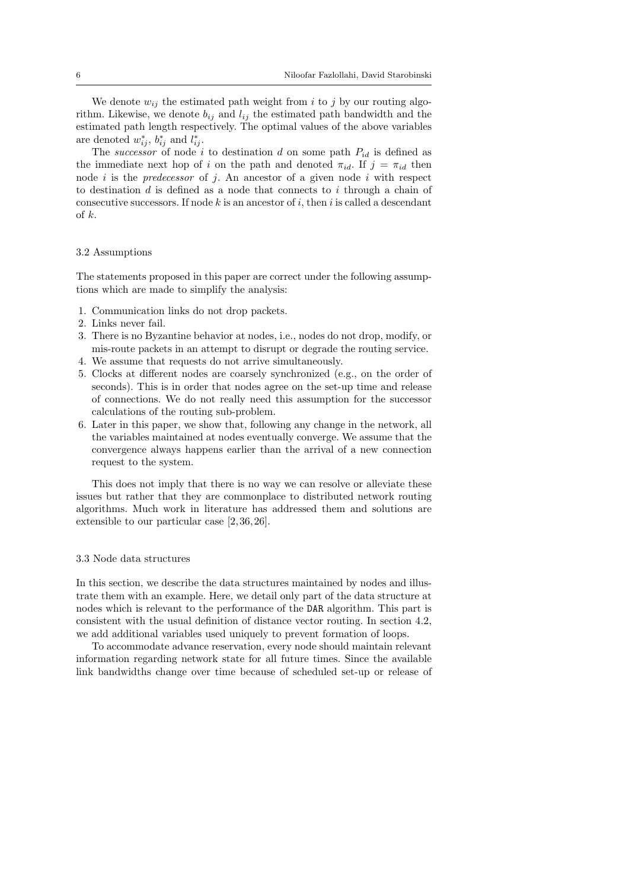We denote  $w_{ij}$  the estimated path weight from *i* to *j* by our routing algorithm. Likewise, we denote  $b_{ij}$  and  $l_{ij}$  the estimated path bandwidth and the estimated path length respectively. The optimal values of the above variables are denoted  $w_{ij}^*$ ,  $b_{ij}^*$  and  $l_{ij}^*$ .

The *successor* of node *i* to destination *d* on some path  $P_{id}$  is defined as the immediate next hop of *i* on the path and denoted  $\pi_{id}$ . If  $j = \pi_{id}$  then node *i* is the *predecessor* of *j*. An ancestor of a given node *i* with respect to destination *d* is defined as a node that connects to *i* through a chain of consecutive successors. If node *k* is an ancestor of *i*, then *i* is called a descendant of *k*.

# 3.2 Assumptions

The statements proposed in this paper are correct under the following assumptions which are made to simplify the analysis:

- 1. Communication links do not drop packets.
- 2. Links never fail.
- 3. There is no Byzantine behavior at nodes, i.e., nodes do not drop, modify, or mis-route packets in an attempt to disrupt or degrade the routing service.
- 4. We assume that requests do not arrive simultaneously.
- 5. Clocks at different nodes are coarsely synchronized (e.g., on the order of seconds). This is in order that nodes agree on the set-up time and release of connections. We do not really need this assumption for the successor calculations of the routing sub-problem.
- 6. Later in this paper, we show that, following any change in the network, all the variables maintained at nodes eventually converge. We assume that the convergence always happens earlier than the arrival of a new connection request to the system.

This does not imply that there is no way we can resolve or alleviate these issues but rather that they are commonplace to distributed network routing algorithms. Much work in literature has addressed them and solutions are extensible to our particular case [2, 36, 26].

# 3.3 Node data structures

In this section, we describe the data structures maintained by nodes and illustrate them with an example. Here, we detail only part of the data structure at nodes which is relevant to the performance of the DAR algorithm. This part is consistent with the usual definition of distance vector routing. In section 4.2, we add additional variables used uniquely to prevent formation of loops.

To accommodate advance reservation, every node should maintain relevant information regarding network state for all future times. Since the available link bandwidths change over time because of scheduled set-up or release of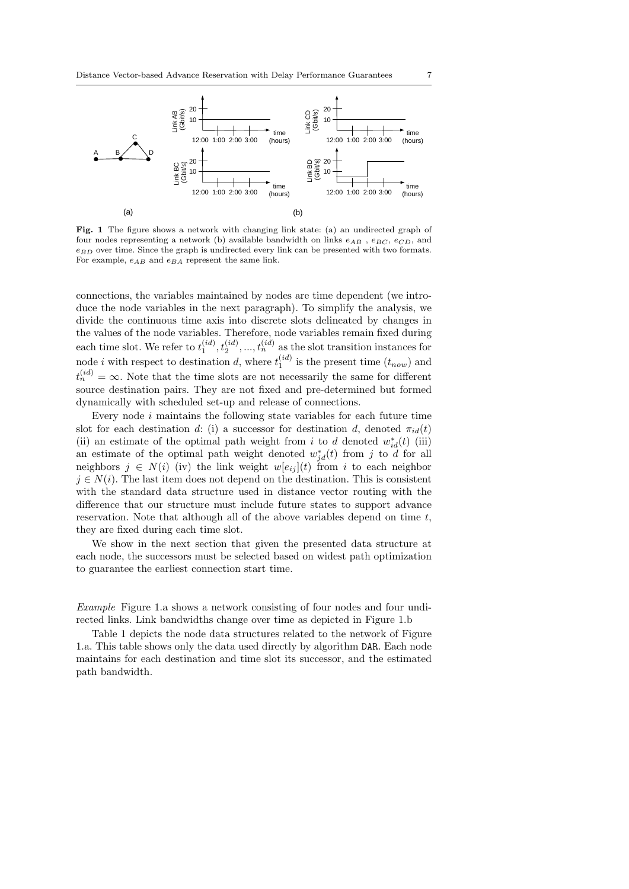

**Fig. 1** The figure shows a network with changing link state: (a) an undirected graph of four nodes representing a network (b) available bandwidth on links *eAB* , *eBC* , *eCD*, and *eBD* over time. Since the graph is undirected every link can be presented with two formats. For example,  $e_{AB}$  and  $e_{BA}$  represent the same link.

connections, the variables maintained by nodes are time dependent (we introduce the node variables in the next paragraph). To simplify the analysis, we divide the continuous time axis into discrete slots delineated by changes in the values of the node variables. Therefore, node variables remain fixed during each time slot. We refer to  $t_1^{(id)}$ ,  $t_2^{(id)}$ , ...,  $t_n^{(id)}$  as the slot transition instances for node *i* with respect to destination *d*, where  $t_1^{(id)}$  is the present time  $(t_{now})$  and  $t_n^{(id)} = \infty$ . Note that the time slots are not necessarily the same for different source destination pairs. They are not fixed and pre-determined but formed dynamically with scheduled set-up and release of connections.

Every node *i* maintains the following state variables for each future time slot for each destination *d*: (i) a successor for destination *d*, denoted  $\pi_{id}(t)$ (ii) an estimate of the optimal path weight from *i* to *d* denoted  $w_{id}^*(t)$  (iii) an estimate of the optimal path weight denoted  $w_{jd}^*(t)$  from *j* to *d* for all neighbors  $j \in N(i)$  (iv) the link weight  $w[e_{ij}](t)$  from *i* to each neighbor  $j \in N(i)$ . The last item does not depend on the destination. This is consistent with the standard data structure used in distance vector routing with the difference that our structure must include future states to support advance reservation. Note that although all of the above variables depend on time *t*, they are fixed during each time slot.

We show in the next section that given the presented data structure at each node, the successors must be selected based on widest path optimization to guarantee the earliest connection start time.

*Example* Figure 1.a shows a network consisting of four nodes and four undirected links. Link bandwidths change over time as depicted in Figure 1.b

Table 1 depicts the node data structures related to the network of Figure 1.a. This table shows only the data used directly by algorithm DAR. Each node maintains for each destination and time slot its successor, and the estimated path bandwidth.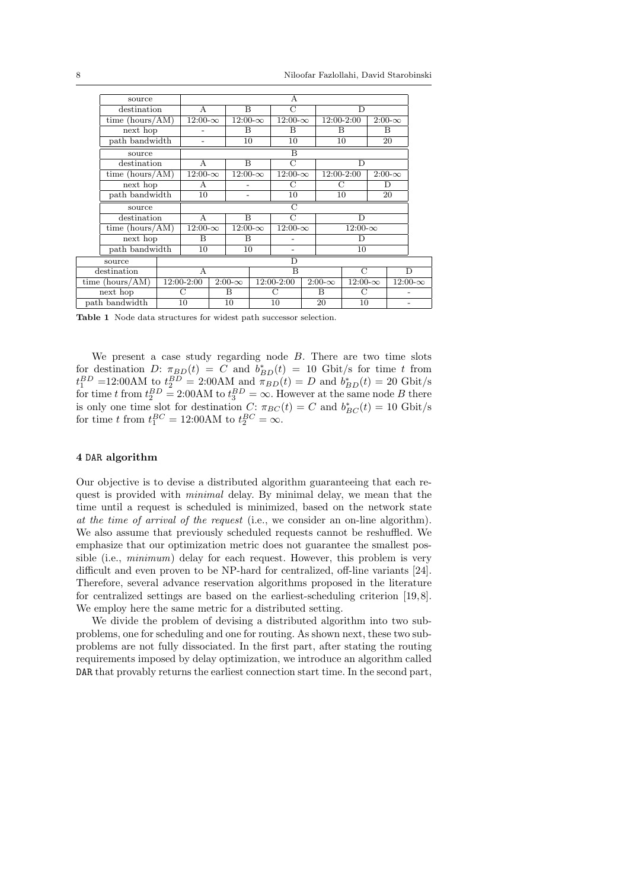|  | source                                                         | A              |                |                           |                |                |                |               |                |                |               |                |  |
|--|----------------------------------------------------------------|----------------|----------------|---------------------------|----------------|----------------|----------------|---------------|----------------|----------------|---------------|----------------|--|
|  | destination                                                    | A              |                | B                         |                | $\mathcal{C}$  |                | D             |                |                |               |                |  |
|  | time (hours/ $\overline{AM}$ )                                 | $12:00-\infty$ |                | $\overline{1}2:00-\infty$ |                | $12:00-\infty$ |                |               | 12:00-2:00     |                | $2:00-\infty$ |                |  |
|  | next hop                                                       |                |                | В                         |                | B              |                | B             |                | В              |               |                |  |
|  | path bandwidth                                                 |                |                | 10                        |                | 10             |                | 10            |                | 20             |               |                |  |
|  | source                                                         | B              |                |                           |                |                |                |               |                |                |               |                |  |
|  | destination                                                    |                | $\mathsf{A}$   |                           | B              |                | $\mathcal{C}$  |               | D              |                |               |                |  |
|  | time $(hours/AM)$                                              |                | $12:00-\infty$ |                           | $12:00-\infty$ |                | $12:00-\infty$ |               |                | 12:00-2:00     |               | $2:00-\infty$  |  |
|  | next hop                                                       |                | A              |                           |                |                | С              |               | С              |                | D             |                |  |
|  | path bandwidth                                                 |                | 10             |                           |                |                | 10             |               | 10             |                | 20            |                |  |
|  | source                                                         | C              |                |                           |                |                |                |               |                |                |               |                |  |
|  | destination<br>time $(hours/AM)$<br>next hop<br>path bandwidth |                | A              |                           | B              |                | $\overline{C}$ |               | D              |                |               |                |  |
|  |                                                                |                | $12:00-\infty$ |                           | $12:00-\infty$ |                | $12:00-\infty$ |               | $12:00-\infty$ |                |               |                |  |
|  |                                                                |                | B              |                           | B              |                |                |               | D              |                |               |                |  |
|  |                                                                |                | 10             |                           | 10             |                |                |               | 10             |                |               |                |  |
|  | source                                                         |                |                | D                         |                |                |                |               |                |                |               |                |  |
|  | destination                                                    |                | А              |                           |                |                | B              |               |                | C              |               | D              |  |
|  | time $(hours/AM)$                                              |                | 12:00-2:00     |                           | $2:00-\infty$  | 12:00-2:00     |                | $2:00-\infty$ |                | $12:00-\infty$ |               | $12:00-\infty$ |  |
|  | next hop                                                       |                | С              |                           | B              |                | С              |               | B              | С              |               |                |  |
|  | path bandwidth                                                 |                | 10             |                           | 10             |                | 10             |               | 20             | 10             |               |                |  |
|  |                                                                |                |                |                           |                |                |                |               |                |                |               |                |  |

**Table 1** Node data structures for widest path successor selection.

We present a case study regarding node *B*. There are two time slots for destination *D*:  $\pi_{BD}(t) = C$  and  $b_{BD}^*(t) = 10$  Gbit/s for time *t* from  $t_1^{BD}$  = 12:00AM to  $t_2^{BD}$  = 2:00AM and  $\pi_{BD}(t) = D$  and  $b_{BD}^*(t) = 20$  Gbit/s for time *t* from  $t_2^{BD} = 2:00$ AM to  $t_3^{BD} = \infty$ . However at the same node *B* there is only one time slot for destination *C*:  $\pi_{BC}(t) = C$  and  $b_{BC}^*(t) = 10$  Gbit/s for time *t* from  $t_1^{BC} = 12:00$ AM to  $t_2^{BC} = \infty$ .

# **4** DAR **algorithm**

Our objective is to devise a distributed algorithm guaranteeing that each request is provided with *minimal* delay. By minimal delay, we mean that the time until a request is scheduled is minimized, based on the network state *at the time of arrival of the request* (i.e., we consider an on-line algorithm). We also assume that previously scheduled requests cannot be reshuffled. We emphasize that our optimization metric does not guarantee the smallest possible (i.e., *minimum*) delay for each request. However, this problem is very difficult and even proven to be NP-hard for centralized, off-line variants [24]. Therefore, several advance reservation algorithms proposed in the literature for centralized settings are based on the earliest-scheduling criterion [19, 8]. We employ here the same metric for a distributed setting.

We divide the problem of devising a distributed algorithm into two subproblems, one for scheduling and one for routing. As shown next, these two subproblems are not fully dissociated. In the first part, after stating the routing requirements imposed by delay optimization, we introduce an algorithm called DAR that provably returns the earliest connection start time. In the second part,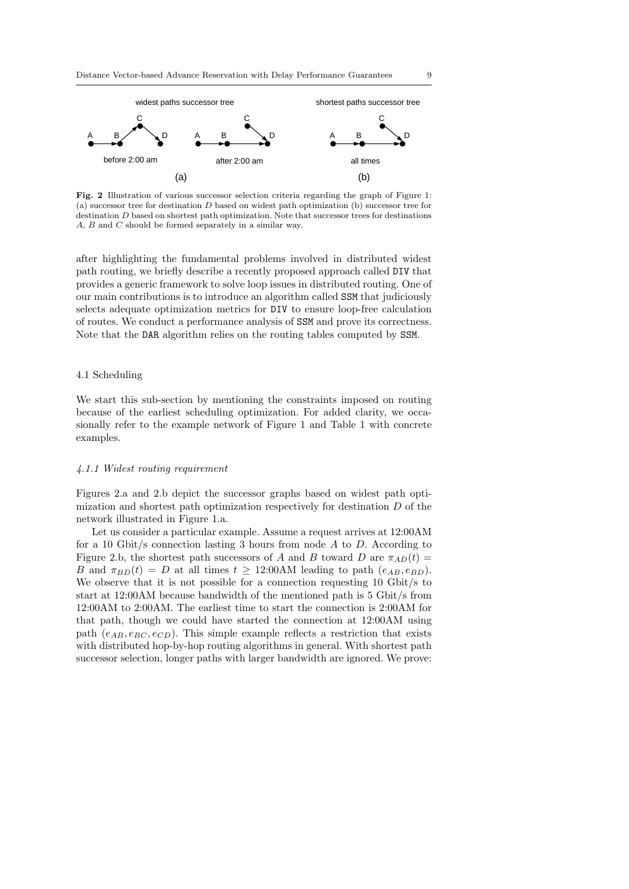

**Fig. 2** Illustration of various successor selection criteria regarding the graph of Figure 1: (a) successor tree for destination *D* based on widest path optimization (b) successor tree for destination *D* based on shortest path optimization. Note that successor trees for destinations *A*, *B* and *C* should be formed separately in a similar way.

after highlighting the fundamental problems involved in distributed widest path routing, we briefly describe a recently proposed approach called DIV that provides a generic framework to solve loop issues in distributed routing. One of our main contributions is to introduce an algorithm called SSM that judiciously selects adequate optimization metrics for DIV to ensure loop-free calculation of routes. We conduct a performance analysis of SSM and prove its correctness. Note that the DAR algorithm relies on the routing tables computed by SSM.

# 4.1 Scheduling

We start this sub-section by mentioning the constraints imposed on routing because of the earliest scheduling optimization. For added clarity, we occasionally refer to the example network of Figure 1 and Table 1 with concrete examples.

# *4.1.1 Widest routing requirement*

Figures 2.a and 2.b depict the successor graphs based on widest path optimization and shortest path optimization respectively for destination *D* of the network illustrated in Figure 1.a.

Let us consider a particular example. Assume a request arrives at 12:00AM for a 10 Gbit/s connection lasting 3 hours from node *A* to *D*. According to Figure 2.b, the shortest path successors of *A* and *B* toward *D* are  $\pi_{AD}(t)$  = *B* and  $\pi_{BD}(t) = D$  at all times  $t \geq 12:00$ AM leading to path  $(e_{AB}, e_{BD})$ . We observe that it is not possible for a connection requesting 10 Gbit/s to start at 12:00AM because bandwidth of the mentioned path is 5 Gbit/s from 12:00AM to 2:00AM. The earliest time to start the connection is 2:00AM for that path, though we could have started the connection at 12:00AM using path  $(e_{AB}, e_{BC}, e_{CD})$ . This simple example reflects a restriction that exists with distributed hop-by-hop routing algorithms in general. With shortest path successor selection, longer paths with larger bandwidth are ignored. We prove: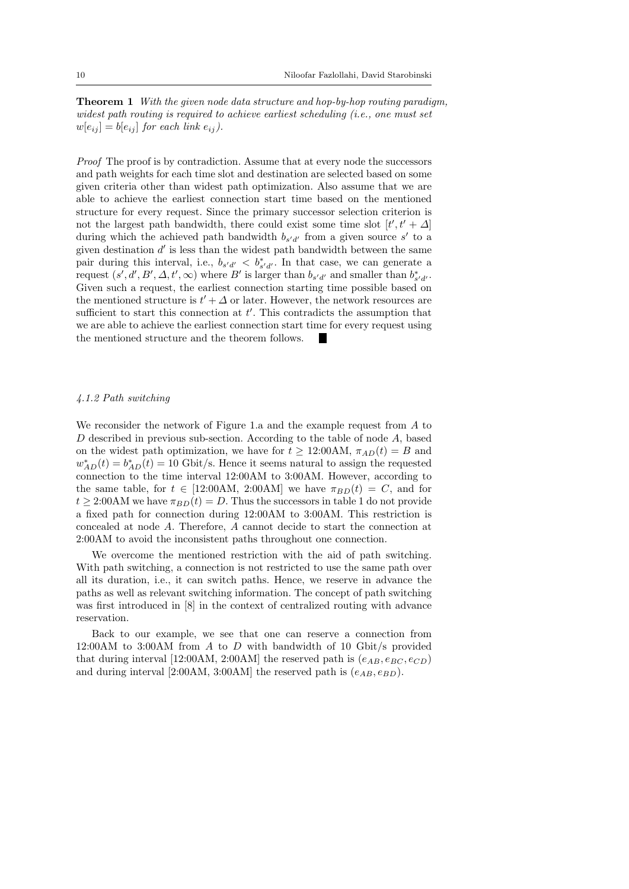**Theorem 1** *With the given node data structure and hop-by-hop routing paradigm, widest path routing is required to achieve earliest scheduling (i.e., one must set*  $w[e_{ij}] = b[e_{ij}]$  *for each link*  $e_{ij}$ .

*Proof* The proof is by contradiction. Assume that at every node the successors and path weights for each time slot and destination are selected based on some given criteria other than widest path optimization. Also assume that we are able to achieve the earliest connection start time based on the mentioned structure for every request. Since the primary successor selection criterion is not the largest path bandwidth, there could exist some time slot  $[t', t' + \Delta]$ during which the achieved path bandwidth  $b_{s'd'}$  from a given source  $s'$  to a given destination *d ′* is less than the widest path bandwidth between the same pair during this interval, i.e.,  $b_{s'd'} < b_{s'd'}^*$ . In that case, we can generate a request  $(s', d', B', \Delta, t', \infty)$  where  $B'$  is larger than  $b_{s'd'}$  and smaller than  $b_{s'd'}^*$ . Given such a request, the earliest connection starting time possible based on the mentioned structure is  $t' + \Delta$  or later. However, the network resources are sufficient to start this connection at *t ′* . This contradicts the assumption that we are able to achieve the earliest connection start time for every request using the mentioned structure and the theorem follows.

# *4.1.2 Path switching*

We reconsider the network of Figure 1.a and the example request from *A* to *D* described in previous sub-section. According to the table of node *A*, based on the widest path optimization, we have for  $t \geq 12:00$ AM,  $\pi_{AD}(t) = B$  and  $w_{AD}^*(t) = b_{AD}^*(t) = 10$  Gbit/s. Hence it seems natural to assign the requested connection to the time interval 12:00AM to 3:00AM. However, according to the same table, for  $t \in [12:00AM, 2:00AM]$  we have  $\pi_{BD}(t) = C$ , and for  $t \geq 2.00$ AM we have  $\pi_{BD}(t) = D$ . Thus the successors in table 1 do not provide a fixed path for connection during 12:00AM to 3:00AM. This restriction is concealed at node *A*. Therefore, *A* cannot decide to start the connection at 2:00AM to avoid the inconsistent paths throughout one connection.

We overcome the mentioned restriction with the aid of path switching. With path switching, a connection is not restricted to use the same path over all its duration, i.e., it can switch paths. Hence, we reserve in advance the paths as well as relevant switching information. The concept of path switching was first introduced in [8] in the context of centralized routing with advance reservation.

Back to our example, we see that one can reserve a connection from 12:00AM to 3:00AM from *A* to *D* with bandwidth of 10 Gbit/s provided that during interval [12:00AM, 2:00AM] the reserved path is  $(e_{AB}, e_{BC}, e_{CD})$ and during interval [2:00AM, 3:00AM] the reserved path is  $(e_{AB}, e_{BD})$ .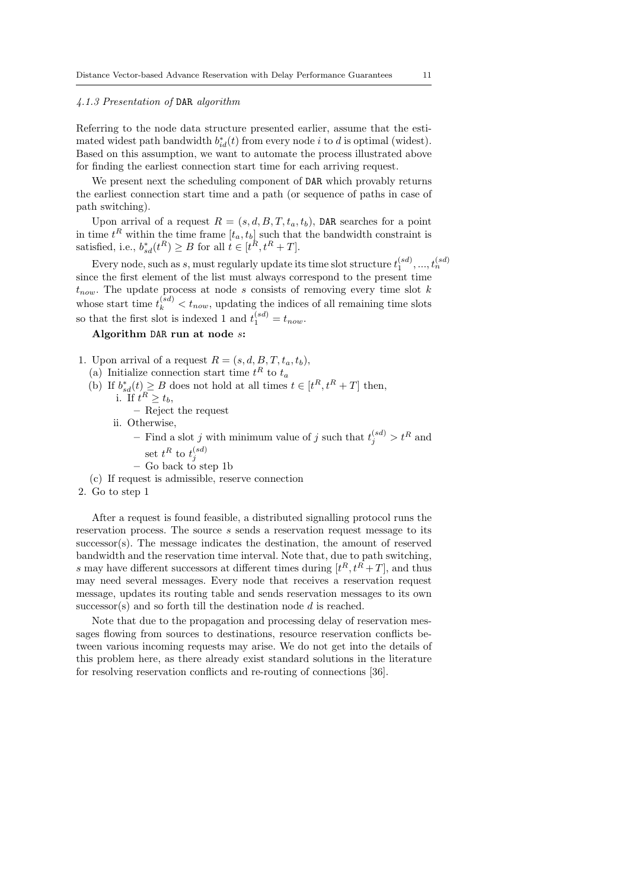# *4.1.3 Presentation of* DAR *algorithm*

Referring to the node data structure presented earlier, assume that the estimated widest path bandwidth  $b_{id}^*(t)$  from every node *i* to *d* is optimal (widest). Based on this assumption, we want to automate the process illustrated above for finding the earliest connection start time for each arriving request.

We present next the scheduling component of **DAR** which provably returns the earliest connection start time and a path (or sequence of paths in case of path switching).

Upon arrival of a request  $R = (s, d, B, T, t_a, t_b)$ , DAR searches for a point in time  $t^R$  within the time frame  $[t_a, t_b]$  such that the bandwidth constraint is satisfied, i.e.,  $b_{sd}^*(t^R) \ge B$  for all  $t \in [t^R, t^R + T]$ .

Every node, such as *s*, must regularly update its time slot structure  $t_1^{(sd)}, ..., t_n^{(sd)}$ since the first element of the list must always correspond to the present time  $t_{now}$ . The update process at node *s* consists of removing every time slot *k* whose start time  $t_k^{(sd)} < t_{now}$ , updating the indices of all remaining time slots so that the first slot is indexed 1 and  $t_1^{(sd)} = t_{now}$ .

# **Algorithm** DAR **run at node** *s***:**

- 1. Upon arrival of a request  $R = (s, d, B, T, t_a, t_b)$ ,
	- (a) Initialize connection start time  $t^R$  to  $t_a$
	- (b) If  $b_{sd}^*(t) \geq B$  does not hold at all times  $t \in [t^R, t^R + T]$  then, i. If  $t^R \ge t_b$ ,
		- **–** Reject the request
		- ii. Otherwise,

 $-$  Find a slot *j* with minimum value of *j* such that  $t_j^{(sd)} > t^R$  and set  $t^R$  to  $t_j^{(sd)}$ <br>
– Go back to step 1b

- 
- (c) If request is admissible, reserve connection
- 2. Go to step 1

After a request is found feasible, a distributed signalling protocol runs the reservation process. The source *s* sends a reservation request message to its successor(s). The message indicates the destination, the amount of reserved bandwidth and the reservation time interval. Note that, due to path switching, *s* may have different successors at different times during  $[t^R, t^R + T]$ , and thus may need several messages. Every node that receives a reservation request message, updates its routing table and sends reservation messages to its own successor(s) and so forth till the destination node *d* is reached.

Note that due to the propagation and processing delay of reservation messages flowing from sources to destinations, resource reservation conflicts between various incoming requests may arise. We do not get into the details of this problem here, as there already exist standard solutions in the literature for resolving reservation conflicts and re-routing of connections [36].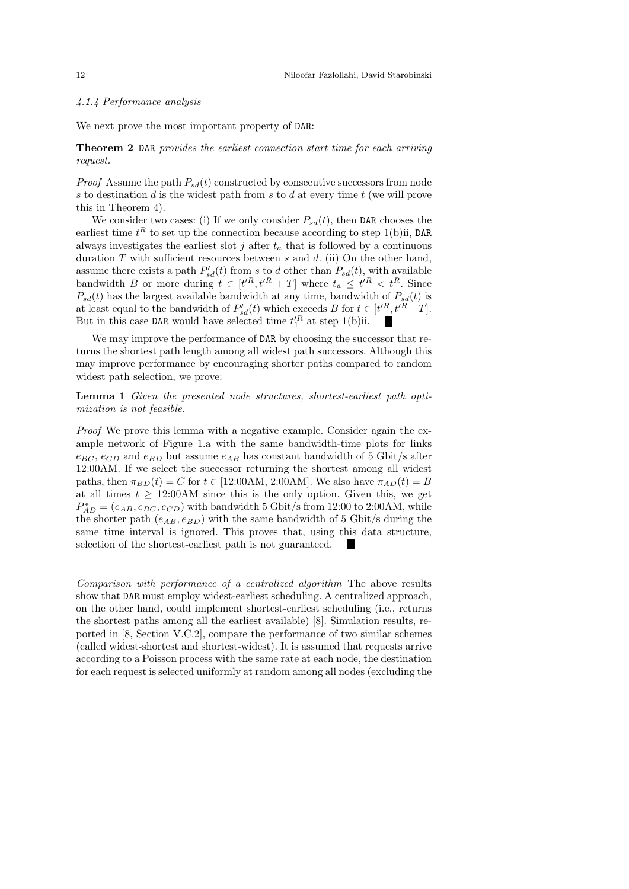# *4.1.4 Performance analysis*

We next prove the most important property of DAR:

**Theorem 2** DAR *provides the earliest connection start time for each arriving request.*

*Proof* Assume the path  $P_{sd}(t)$  constructed by consecutive successors from node *s* to destination *d* is the widest path from *s* to *d* at every time *t* (we will prove this in Theorem 4).

We consider two cases: (i) If we only consider  $P_{sd}(t)$ , then DAR chooses the earliest time  $t^R$  to set up the connection because according to step 1(b)ii, DAR always investigates the earliest slot  $j$  after  $t_a$  that is followed by a continuous duration *T* with sufficient resources between *s* and *d*. (ii) On the other hand, assume there exists a path  $P'_{sd}(t)$  from *s* to *d* other than  $P_{sd}(t)$ , with available bandwidth *B* or more during  $t \in [t^R, t^R + T]$  where  $t_a \leq t^R < t^R$ . Since  $P_{sd}(t)$  has the largest available bandwidth at any time, bandwidth of  $P_{sd}(t)$  is at least equal to the bandwidth of  $P'_{sd}(t)$  which exceeds *B* for  $t \in [t'^R, t'^R + T]$ . But in this case DAR would have selected time  $t'^R_1$  at step 1(b)ii.

We may improve the performance of DAR by choosing the successor that returns the shortest path length among all widest path successors. Although this may improve performance by encouraging shorter paths compared to random widest path selection, we prove:

**Lemma 1** *Given the presented node structures, shortest-earliest path optimization is not feasible.*

*Proof* We prove this lemma with a negative example. Consider again the example network of Figure 1.a with the same bandwidth-time plots for links  $e_{BC}$ ,  $e_{CD}$  and  $e_{BD}$  but assume  $e_{AB}$  has constant bandwidth of 5 Gbit/s after 12:00AM. If we select the successor returning the shortest among all widest paths, then  $\pi_{BD}(t) = C$  for  $t \in [12:00 \text{AM}, 2:00 \text{AM}]$ . We also have  $\pi_{AD}(t) = B$ at all times  $t > 12:00$ AM since this is the only option. Given this, we get  $P_{AD}^* = (e_{AB}, e_{BC}, e_{CD})$  with bandwidth 5 Gbit/s from 12:00 to 2:00AM, while the shorter path  $(e_{AB}, e_{BD})$  with the same bandwidth of 5 Gbit/s during the same time interval is ignored. This proves that, using this data structure, selection of the shortest-earliest path is not guaranteed.

*Comparison with performance of a centralized algorithm* The above results show that DAR must employ widest-earliest scheduling. A centralized approach, on the other hand, could implement shortest-earliest scheduling (i.e., returns the shortest paths among all the earliest available) [8]. Simulation results, reported in [8, Section V.C.2], compare the performance of two similar schemes (called widest-shortest and shortest-widest). It is assumed that requests arrive according to a Poisson process with the same rate at each node, the destination for each request is selected uniformly at random among all nodes (excluding the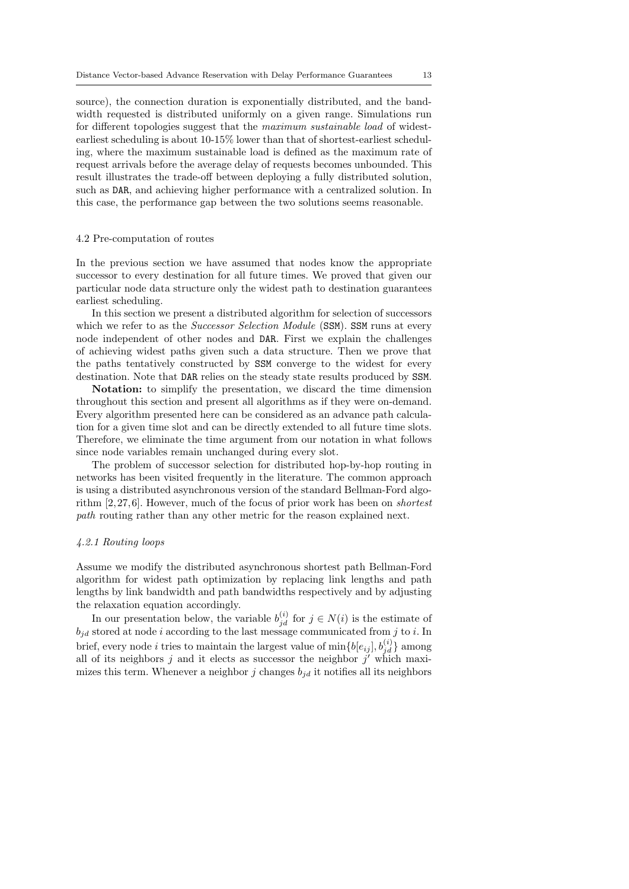source), the connection duration is exponentially distributed, and the bandwidth requested is distributed uniformly on a given range. Simulations run for different topologies suggest that the *maximum sustainable load* of widestearliest scheduling is about 10-15% lower than that of shortest-earliest scheduling, where the maximum sustainable load is defined as the maximum rate of request arrivals before the average delay of requests becomes unbounded. This result illustrates the trade-off between deploying a fully distributed solution, such as DAR, and achieving higher performance with a centralized solution. In this case, the performance gap between the two solutions seems reasonable.

#### 4.2 Pre-computation of routes

In the previous section we have assumed that nodes know the appropriate successor to every destination for all future times. We proved that given our particular node data structure only the widest path to destination guarantees earliest scheduling.

In this section we present a distributed algorithm for selection of successors which we refer to as the *Successor Selection Module* (SSM). SSM runs at every node independent of other nodes and DAR. First we explain the challenges of achieving widest paths given such a data structure. Then we prove that the paths tentatively constructed by SSM converge to the widest for every destination. Note that DAR relies on the steady state results produced by SSM.

**Notation:** to simplify the presentation, we discard the time dimension throughout this section and present all algorithms as if they were on-demand. Every algorithm presented here can be considered as an advance path calculation for a given time slot and can be directly extended to all future time slots. Therefore, we eliminate the time argument from our notation in what follows since node variables remain unchanged during every slot.

The problem of successor selection for distributed hop-by-hop routing in networks has been visited frequently in the literature. The common approach is using a distributed asynchronous version of the standard Bellman-Ford algorithm [2, 27, 6]. However, much of the focus of prior work has been on *shortest path* routing rather than any other metric for the reason explained next.

### *4.2.1 Routing loops*

Assume we modify the distributed asynchronous shortest path Bellman-Ford algorithm for widest path optimization by replacing link lengths and path lengths by link bandwidth and path bandwidths respectively and by adjusting the relaxation equation accordingly.

In our presentation below, the variable  $b_{jd}^{(i)}$  for  $j \in N(i)$  is the estimate of *bjd* stored at node *i* according to the last message communicated from *j* to *i*. In brief, every node *i* tries to maintain the largest value of  $\min\{b[e_{ij}], b_{jd}^{(i)}\}$  among all of its neighbors *j* and it elects as successor the neighbor *j ′* which maximizes this term. Whenever a neighbor  $j$  changes  $b_{id}$  it notifies all its neighbors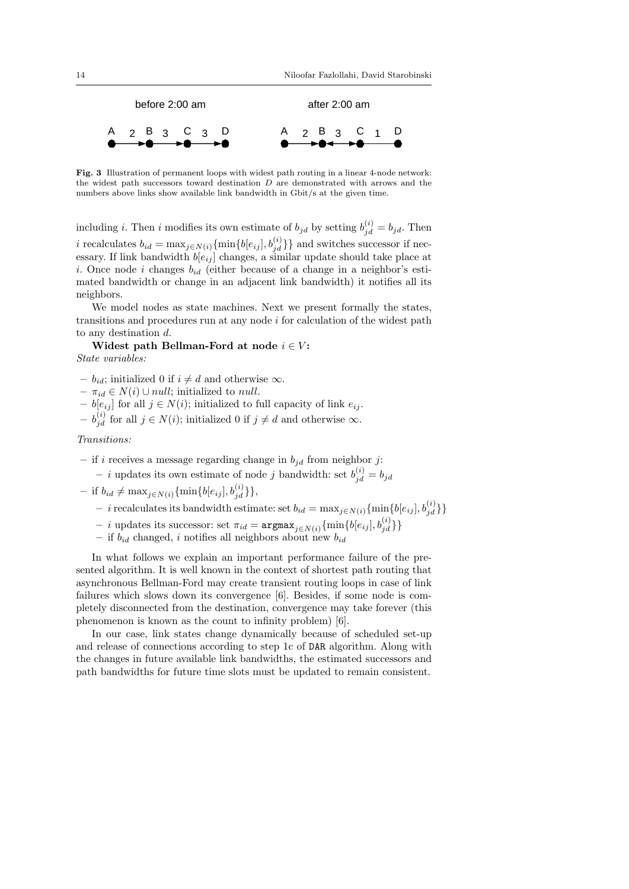

**Fig. 3** Illustration of permanent loops with widest path routing in a linear 4-node network: the widest path successors toward destination *D* are demonstrated with arrows and the numbers above links show available link bandwidth in Gbit/s at the given time.

including *i*. Then *i* modifies its own estimate of  $b_{jd}$  by setting  $b_{jd}^{(i)} = b_{jd}$ . Then *i* recalculates  $b_{id} = \max_{j \in N(i)} \{\min\{b[e_{ij}], b_{jd}^{(i)}\}\}$  and switches successor if necessary. If link bandwidth  $b[e_{ij}]$  changes, a similar update should take place at *i*. Once node *i* changes *bid* (either because of a change in a neighbor's estimated bandwidth or change in an adjacent link bandwidth) it notifies all its neighbors.

We model nodes as state machines. Next we present formally the states, transitions and procedures run at any node *i* for calculation of the widest path to any destination *d*.

**Widest path Bellman-Ford at node**  $i \in V$ : *State variables:*

- $b_{id}$ ; initialized 0 if *i* ≠ *d* and otherwise  $\infty$ .
- $\pi_{id} \in N(i) \cup null$ ; initialized to *null*.
- **–** *b*[*eij* ] for all *j ∈ N*(*i*); initialized to full capacity of link *eij* .
- $b_{jd}^{(i)}$  for all  $j \in N(i)$ ; initialized 0 if  $j \neq d$  and otherwise  $∞$ .

*Transitions:*

- if *i* receives a message regarding change in  $b_{jd}$  from neighbor *j*:
	- $i$  updates its own estimate of node *j* bandwidth: set  $b_{jd}^{(i)} = b_{jd}$
- $-$  if  $b_{id} \neq \max_{j \in N(i)} {\{\min\{b[e_{ij}], b_{jd}^{(i)}\}\}},$ 
	- $\{ -i \text{ } \text{recall} \}$  *i*  $\{ \text{b}_i \}$  and  $\text{iv}$  and  $\text{iv}$  and  $\{ \text{b}_i \}$  and  $\{ \text{b}_i \}$   $\{ \text{b}_i \}$   $\{ \text{b}_i \}$
	- $i$  updates its successor: set  $\pi_{id} = \argmax_{j \in N(i)} \{\min\{b[e_{ij}], b_{jd}^{(i)}\}\}\$
	- if  $b_{id}$  changed, *i* notifies all neighbors about new  $b_{id}$

In what follows we explain an important performance failure of the presented algorithm. It is well known in the context of shortest path routing that asynchronous Bellman-Ford may create transient routing loops in case of link failures which slows down its convergence [6]. Besides, if some node is completely disconnected from the destination, convergence may take forever (this phenomenon is known as the count to infinity problem) [6].

In our case, link states change dynamically because of scheduled set-up and release of connections according to step 1c of DAR algorithm. Along with the changes in future available link bandwidths, the estimated successors and path bandwidths for future time slots must be updated to remain consistent.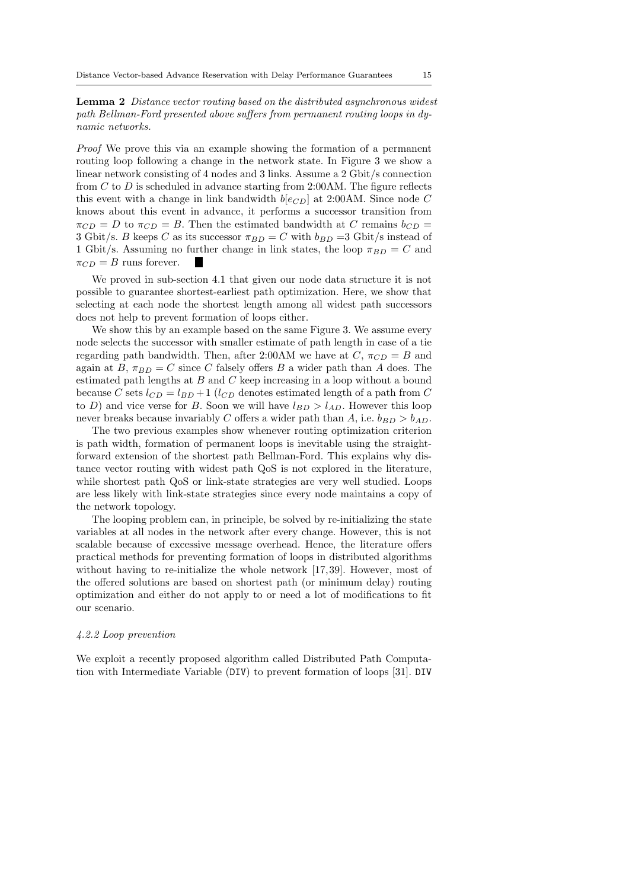**Lemma 2** *Distance vector routing based on the distributed asynchronous widest path Bellman-Ford presented above suffers from permanent routing loops in dynamic networks.*

*Proof* We prove this via an example showing the formation of a permanent routing loop following a change in the network state. In Figure 3 we show a linear network consisting of 4 nodes and 3 links. Assume a 2 Gbit/s connection from *C* to *D* is scheduled in advance starting from 2:00AM. The figure reflects this event with a change in link bandwidth  $b[ec_D]$  at 2:00AM. Since node  $C$ knows about this event in advance, it performs a successor transition from  $\pi_{CD} = D$  to  $\pi_{CD} = B$ . Then the estimated bandwidth at *C* remains  $b_{CD} =$ 3 Gbit/s. *B* keeps *C* as its successor  $\pi_{BD} = C$  with  $b_{BD} = 3$  Gbit/s instead of 1 Gbit/s. Assuming no further change in link states, the loop  $\pi_{BD} = C$  and  $\pi_{CD} = B$  runs forever. **I** 

We proved in sub-section 4.1 that given our node data structure it is not possible to guarantee shortest-earliest path optimization. Here, we show that selecting at each node the shortest length among all widest path successors does not help to prevent formation of loops either.

We show this by an example based on the same Figure 3. We assume every node selects the successor with smaller estimate of path length in case of a tie regarding path bandwidth. Then, after 2:00AM we have at  $C$ ,  $\pi_{CD} = B$  and again at  $B$ ,  $\pi_{BD} = C$  since *C* falsely offers *B* a wider path than *A* does. The estimated path lengths at *B* and *C* keep increasing in a loop without a bound because *C* sets  $l_{CD} = l_{BD} + 1$  ( $l_{CD}$  denotes estimated length of a path from *C* to *D*) and vice verse for *B*. Soon we will have  $l_{BD} > l_{AD}$ . However this loop never breaks because invariably *C* offers a wider path than *A*, i.e.  $b_{BD} > b_{AD}$ .

The two previous examples show whenever routing optimization criterion is path width, formation of permanent loops is inevitable using the straightforward extension of the shortest path Bellman-Ford. This explains why distance vector routing with widest path QoS is not explored in the literature, while shortest path QoS or link-state strategies are very well studied. Loops are less likely with link-state strategies since every node maintains a copy of the network topology.

The looping problem can, in principle, be solved by re-initializing the state variables at all nodes in the network after every change. However, this is not scalable because of excessive message overhead. Hence, the literature offers practical methods for preventing formation of loops in distributed algorithms without having to re-initialize the whole network [17,39]. However, most of the offered solutions are based on shortest path (or minimum delay) routing optimization and either do not apply to or need a lot of modifications to fit our scenario.

# *4.2.2 Loop prevention*

We exploit a recently proposed algorithm called Distributed Path Computation with Intermediate Variable (DIV) to prevent formation of loops [31]. DIV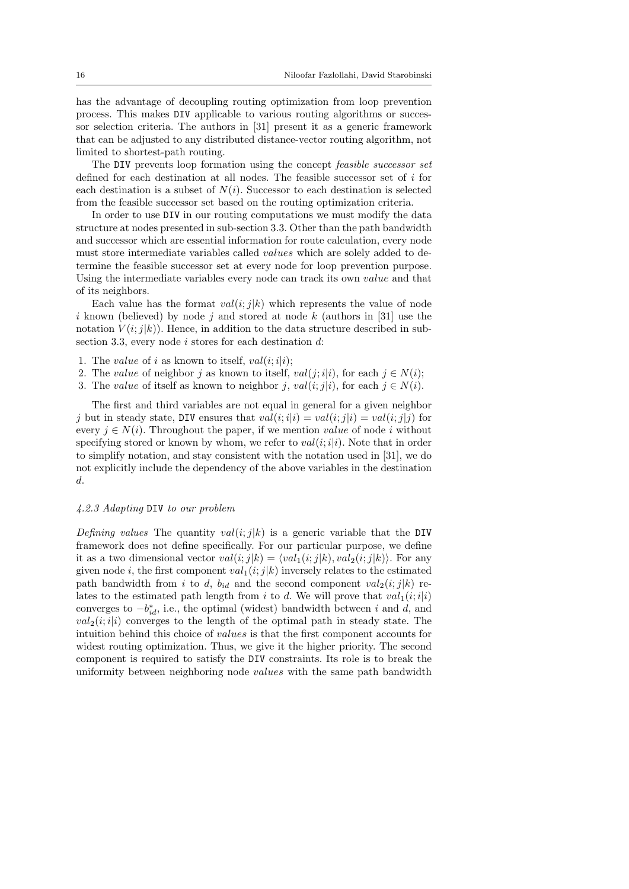has the advantage of decoupling routing optimization from loop prevention process. This makes DIV applicable to various routing algorithms or successor selection criteria. The authors in [31] present it as a generic framework that can be adjusted to any distributed distance-vector routing algorithm, not limited to shortest-path routing.

The DIV prevents loop formation using the concept *feasible successor set* defined for each destination at all nodes. The feasible successor set of *i* for each destination is a subset of  $N(i)$ . Successor to each destination is selected from the feasible successor set based on the routing optimization criteria.

In order to use DIV in our routing computations we must modify the data structure at nodes presented in sub-section 3.3. Other than the path bandwidth and successor which are essential information for route calculation, every node must store intermediate variables called *values* which are solely added to determine the feasible successor set at every node for loop prevention purpose. Using the intermediate variables every node can track its own *value* and that of its neighbors.

Each value has the format  $val(i; j|k)$  which represents the value of node *i* known (believed) by node *j* and stored at node *k* (authors in [31] use the notation  $V(i; j|k)$ ). Hence, in addition to the data structure described in subsection 3.3, every node *i* stores for each destination *d*:

- 1. The *value* of *i* as known to itself,  $val(i; i|i);$
- 2. The *value* of neighbor *j* as known to itself,  $val(j; i|i)$ , for each  $j \in N(i)$ ;
- 3. The *value* of itself as known to neighbor *j*,  $val(i; j|i)$ , for each  $j \in N(i)$ .

The first and third variables are not equal in general for a given neighbor *j* but in steady state, DIV ensures that  $val(i; i|i) = val(i; j|i) = val(i; j|j)$  for every  $j \in N(i)$ . Throughout the paper, if we mention *value* of node *i* without specifying stored or known by whom, we refer to  $val(i,i|i)$ . Note that in order to simplify notation, and stay consistent with the notation used in [31], we do not explicitly include the dependency of the above variables in the destination *d*.

#### *4.2.3 Adapting* DIV *to our problem*

*Defining values* The quantity  $val(i; j|k)$  is a generic variable that the DIV framework does not define specifically. For our particular purpose, we define it as a two dimensional vector  $val(i; j|k) = \langle val_1(i; j|k), val_2(i; j|k) \rangle$ . For any given node *i*, the first component  $val_1(i; j|k)$  inversely relates to the estimated path bandwidth from *i* to *d*,  $b_{id}$  and the second component  $val_2(i; j|k)$  relates to the estimated path length from  $i$  to  $d$ . We will prove that  $val_1(i; i|i)$ converges to  $-b_{id}^*$ , i.e., the optimal (widest) bandwidth between *i* and *d*, and  $val_2(i; i|i)$  converges to the length of the optimal path in steady state. The intuition behind this choice of *values* is that the first component accounts for widest routing optimization. Thus, we give it the higher priority. The second component is required to satisfy the DIV constraints. Its role is to break the uniformity between neighboring node *values* with the same path bandwidth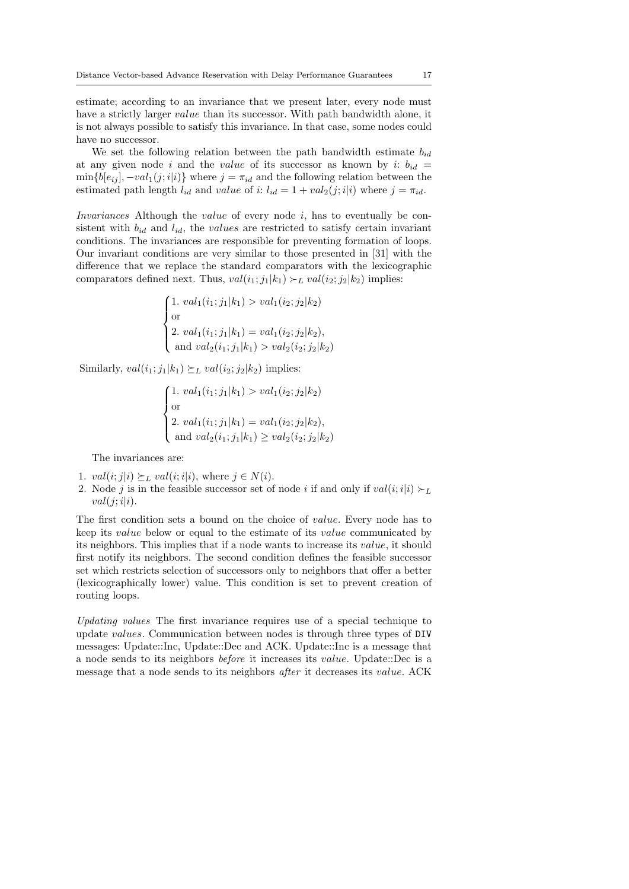estimate; according to an invariance that we present later, every node must have a strictly larger *value* than its successor. With path bandwidth alone, it is not always possible to satisfy this invariance. In that case, some nodes could have no successor.

We set the following relation between the path bandwidth estimate *bid* at any given node *i* and the *value* of its successor as known by *i*:  $b_{id}$  =  $\min\{b[e_{ij}], -val_1(j; i|i)\}$  where  $j = \pi_{id}$  and the following relation between the estimated path length  $l_{id}$  and *value* of *i*:  $l_{id} = 1 + val_2(j; i|i)$  where  $j = \pi_{id}$ .

*Invariances* Although the *value* of every node *i*, has to eventually be consistent with  $b_{id}$  and  $l_{id}$ , the *values* are restricted to satisfy certain invariant conditions. The invariances are responsible for preventing formation of loops. Our invariant conditions are very similar to those presented in [31] with the difference that we replace the standard comparators with the lexicographic comparators defined next. Thus,  $val(i_1; j_1|k_1) \succ_L val(i_2; j_2|k_2)$  implies:

$$
\begin{cases}\n1. \text{ } val_1(i_1; j_1|k_1) > val_1(i_2; j_2|k_2) \\
\text{or} \\
2. \text{ } val_1(i_1; j_1|k_1) = val_1(i_2; j_2|k_2), \\
\text{ and } val_2(i_1; j_1|k_1) > val_2(i_2; j_2|k_2)\n\end{cases}
$$

Similarly,  $val(i_1; j_1|k_1) \succeq_L val(i_2; j_2|k_2)$  implies:

$$
\begin{cases}\n1. \ val_1(i_1; j_1|k_1) > val_1(i_2; j_2|k_2) \\
\text{or} \\
2. \ val_1(i_1; j_1|k_1) = val_1(i_2; j_2|k_2), \\
\text{and } val_2(i_1; j_1|k_1) \geq val_2(i_2; j_2|k_2)\n\end{cases}
$$

The invariances are:

- 1.  $val(i; j|i) \succeq_L val(i; i|i)$ , where  $j \in N(i)$ .
- 2. Node *j* is in the feasible successor set of node *i* if and only if  $val(i; i|i) \succ_L$  $val(j; i|i).$

The first condition sets a bound on the choice of *value*. Every node has to keep its *value* below or equal to the estimate of its *value* communicated by its neighbors. This implies that if a node wants to increase its *value*, it should first notify its neighbors. The second condition defines the feasible successor set which restricts selection of successors only to neighbors that offer a better (lexicographically lower) value. This condition is set to prevent creation of routing loops.

*Updating values* The first invariance requires use of a special technique to update *values*. Communication between nodes is through three types of DIV messages: Update::Inc, Update::Dec and ACK. Update::Inc is a message that a node sends to its neighbors *before* it increases its *value*. Update::Dec is a message that a node sends to its neighbors *after* it decreases its *value*. ACK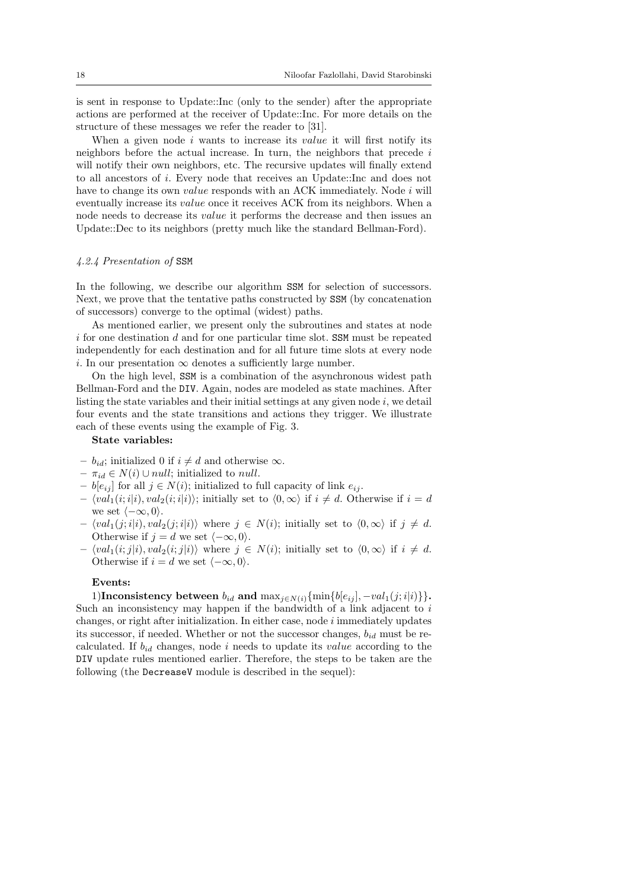is sent in response to Update::Inc (only to the sender) after the appropriate actions are performed at the receiver of Update::Inc. For more details on the structure of these messages we refer the reader to [31].

When a given node *i* wants to increase its *value* it will first notify its neighbors before the actual increase. In turn, the neighbors that precede *i* will notify their own neighbors, etc. The recursive updates will finally extend to all ancestors of *i*. Every node that receives an Update::Inc and does not have to change its own *value* responds with an ACK immediately. Node *i* will eventually increase its *value* once it receives ACK from its neighbors. When a node needs to decrease its *value* it performs the decrease and then issues an Update::Dec to its neighbors (pretty much like the standard Bellman-Ford).

### *4.2.4 Presentation of* SSM

In the following, we describe our algorithm SSM for selection of successors. Next, we prove that the tentative paths constructed by SSM (by concatenation of successors) converge to the optimal (widest) paths.

As mentioned earlier, we present only the subroutines and states at node *i* for one destination *d* and for one particular time slot. SSM must be repeated independently for each destination and for all future time slots at every node *i*. In our presentation  $\infty$  denotes a sufficiently large number.

On the high level, SSM is a combination of the asynchronous widest path Bellman-Ford and the DIV. Again, nodes are modeled as state machines. After listing the state variables and their initial settings at any given node *i*, we detail four events and the state transitions and actions they trigger. We illustrate each of these events using the example of Fig. 3.

# **State variables:**

- $b_{id}$ ; initialized 0 if *i* ≠ *d* and otherwise  $\infty$ .
- $\pi_{id} \in N(i) \cup null$ ; initialized to *null*.
- **–** *b*[*eij* ] for all *j ∈ N*(*i*); initialized to full capacity of link *eij* .
- $\langle val_1(i; i|i), val_2(i; i|i) \rangle$ ; initially set to  $\langle 0, \infty \rangle$  if  $i \neq d$ . Otherwise if  $i = d$ we set *⟨−∞,* 0*⟩*.
- $\langle val_1(j; i|i), val_2(j; i|i) \rangle$  where  $j \in N(i)$ ; initially set to  $\langle 0, \infty \rangle$  if  $j \neq d$ . Otherwise if  $j = d$  we set  $\langle -\infty, 0 \rangle$ .
- $\langle val_1(i; j|i), val_2(i; j|i) \rangle$  where  $j \in N(i)$ ; initially set to  $\langle 0, \infty \rangle$  if  $i \neq d$ . Otherwise if  $i = d$  we set  $\langle -\infty, 0 \rangle$ .

### **Events:**

1)**Inconsistency between**  $b_{id}$  and  $\max_{j \in N(i)} \{\min\{b[e_{ij}], -val_1(j; i|i)\}\}.$ Such an inconsistency may happen if the bandwidth of a link adjacent to *i* changes, or right after initialization. In either case, node *i* immediately updates its successor, if needed. Whether or not the successor changes,  $b_{id}$  must be recalculated. If *bid* changes, node *i* needs to update its *value* according to the DIV update rules mentioned earlier. Therefore, the steps to be taken are the following (the DecreaseV module is described in the sequel):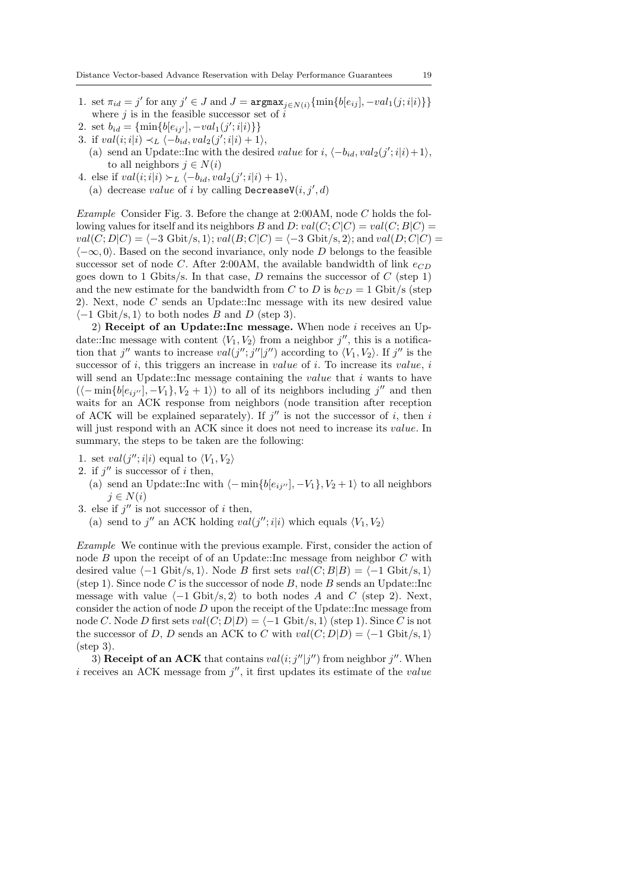- 1. set  $\pi_{id} = j'$  for any  $j' \in J$  and  $J = \operatorname{argmax}_{j \in N(i)} {\{\min\{b[e_{ij}], -val_1(j; i|i)\}\}}$ where *j* is in the feasible successor set of *i*
- 2. set  $b_{id} = {\text{min}{b[e_{ij'}], -val_1(j';i|i)}\}$
- 3. if  $val(i; i|i) \prec_L \langle -b_{id}, val_2(j'; i|i) + 1 \rangle$ ,
	- (a) send an Update::Inc with the desired *value* for  $i, \langle -b_{id}, val_2(j';i|i) + 1 \rangle$ , to all neighbors  $j \in N(i)$
- 4. else if  $val(i; i|i) \succ_L \langle -b_{id}, val_2(j'; i|i) + 1 \rangle$ ,
	- (a) decrease *value* of *i* by calling  $\textsf{DecreaseV}(i, j', d)$

*Example* Consider Fig. 3. Before the change at 2:00AM, node *C* holds the following values for itself and its neighbors *B* and *D*:  $val(C; C|C) = val(C; B|C)$  $val(C; D|C) = \langle -3 \text{ Gbit/s}, 1 \rangle$ ;  $val(B; C|C) = \langle -3 \text{ Gbit/s}, 2 \rangle$ ; and  $val(D; C|C) =$ *⟨−∞,* 0*⟩*. Based on the second invariance, only node *D* belongs to the feasible successor set of node *C*. After 2:00AM, the available bandwidth of link  $e_{CD}$ goes down to 1 Gbits/s. In that case, *D* remains the successor of *C* (step 1) and the new estimate for the bandwidth from *C* to *D* is  $b_{CD} = 1$  Gbit/s (step 2). Next, node *C* sends an Update::Inc message with its new desired value *⟨−*1 Gbit/s*,* 1*⟩* to both nodes *B* and *D* (step 3).

2) **Receipt of an Update::Inc message.** When node *i* receives an Update::Inc message with content  $\langle V_1, V_2 \rangle$  from a neighbor  $j''$ , this is a notification that *j''* wants to increase  $val(j''; j'']j'')$  according to  $\langle V_1, V_2 \rangle$ . If *j''* is the successor of *i*, this triggers an increase in *value* of *i*. To increase its *value*, *i* will send an Update::Inc message containing the *value* that *i* wants to have  $(\langle -\min\{b[e_{ij''}], -V_1\}, V_2 + 1\rangle)$  to all of its neighbors including  $j''$  and then waits for an ACK response from neighbors (node transition after reception of ACK will be explained separately). If  $j''$  is not the successor of *i*, then *i* will just respond with an ACK since it does not need to increase its *value*. In summary, the steps to be taken are the following:

- 1. set  $val(j''; i|i)$  equal to  $\langle V_1, V_2 \rangle$
- 2. if  $j''$  is successor of *i* then,
	- (a) send an Update::Inc with  $\langle -\min\{b[e_{ij''}], -V_1\}, V_2 + 1\rangle$  to all neighbors  $j \in N(i)$
- 3. else if  $j''$  is not successor of *i* then,
	- (a) send to *j*<sup>"</sup> an ACK holding  $val(j''; i|i)$  which equals  $\langle V_1, V_2 \rangle$

*Example* We continue with the previous example. First, consider the action of node *B* upon the receipt of of an Update::Inc message from neighbor *C* with desired value  $\langle -1 \text{ Gbit/s}, 1 \rangle$ . Node *B* first sets  $val(C; B|B) = \langle -1 \text{ Gbit/s}, 1 \rangle$ (step 1). Since node *C* is the successor of node *B*, node *B* sends an Update::Inc message with value  $\langle -1 \text{ Gbit/s}, 2 \rangle$  to both nodes A and C (step 2). Next, consider the action of node *D* upon the receipt of the Update::Inc message from node *C*. Node *D* first sets  $val(C; D|D) = \langle -1 \text{ Gbit/s}, 1 \rangle$  (step 1). Since *C* is not the successor of *D*, *D* sends an ACK to *C* with  $val(C; D|D) = \langle -1 \text{ Gbit/s}, 1 \rangle$ (step 3).

3) **Receipt of an ACK** that contains  $val(i; j'']j'')$  from neighbor  $j''$ . When *i* receives an ACK message from *j ′′*, it first updates its estimate of the *value*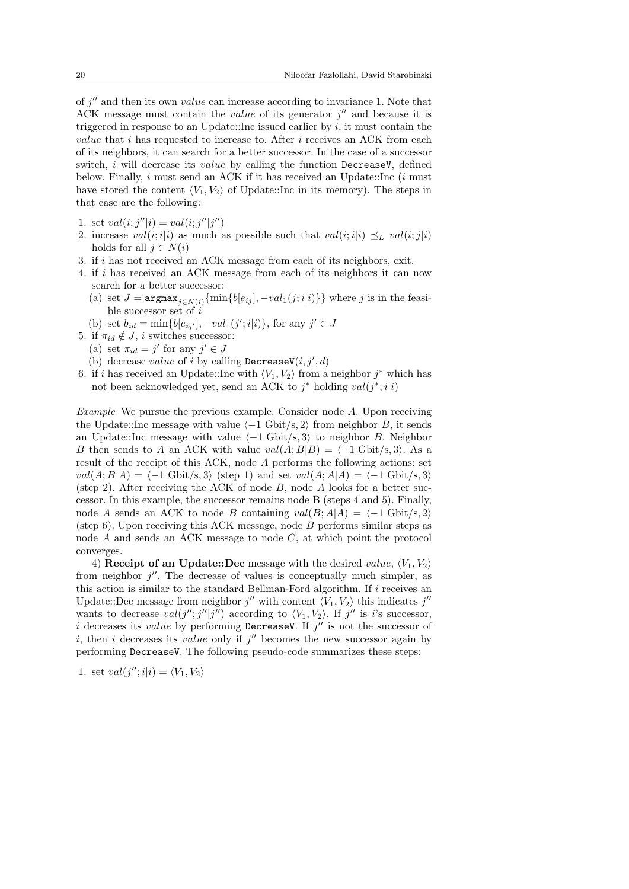of *j ′′* and then its own *value* can increase according to invariance 1. Note that ACK message must contain the *value* of its generator *j ′′* and because it is triggered in response to an Update::Inc issued earlier by  $i$ , it must contain the *value* that *i* has requested to increase to. After *i* receives an ACK from each of its neighbors, it can search for a better successor. In the case of a successor switch, *i* will decrease its *value* by calling the function DecreaseV, defined below. Finally, *i* must send an ACK if it has received an Update::Inc (*i* must have stored the content  $\langle V_1, V_2 \rangle$  of Update::Inc in its memory). The steps in that case are the following:

- 1. set  $val(i; j''|i) = val(i; j''|j'')$
- 2. increase *val*(*i*; *i*|*i*) as much as possible such that  $val(i; i|i) \preceq_L val(i; j|i)$ holds for all  $j \in N(i)$
- 3. if *i* has not received an ACK message from each of its neighbors, exit.
- 4. if *i* has received an ACK message from each of its neighbors it can now search for a better successor:
	- (a) set  $J = \text{argmax}_{j \in N(i)} \{ \min\{b[e_{ij}], -val_1(j; i|i)\} \}$  where *j* is in the feasible successor set of *i*
	- (b) set  $b_{id} = \min\{b[e_{ij'}], -val_1(j';i|i)\},$  for any  $j' \in J$
- 5. if  $\pi_{id} \notin J$ , *i* switches successor:
	- (a) set  $\pi_{id} = j'$  for any  $j' \in J$
	- (b) decrease *value* of *i* by calling DecreaseV $(i, j', d)$
- 6. if *i* has received an Update::Inc with  $\langle V_1, V_2 \rangle$  from a neighbor  $j^*$  which has not been acknowledged yet, send an ACK to *j <sup>∗</sup>* holding *val*(*j ∗* ;*i|i*)

*Example* We pursue the previous example. Consider node *A*. Upon receiving the Update::Inc message with value  $\langle -1 \text{ Gbit/s}, 2 \rangle$  from neighbor *B*, it sends an Update::Inc message with value *⟨−*1 Gbit/s*,* 3*⟩* to neighbor *B*. Neighbor *B* then sends to *A* an ACK with value  $val(A;B|B) = \langle -1 \text{ Gbit/s}, 3 \rangle$ . As a result of the receipt of this ACK, node *A* performs the following actions: set *val*(*A*; *B*|*A*) =  $\langle -1 \text{ Gbit/s}, 3 \rangle$  (step 1) and set *val*(*A*; *A*|*A*) =  $\langle -1 \text{ Gbit/s}, 3 \rangle$ (step 2). After receiving the ACK of node *B*, node *A* looks for a better successor. In this example, the successor remains node B (steps 4 and 5). Finally, node *A* sends an ACK to node *B* containing  $val(B; A|A) = \langle -1 \text{ Gbit/s}, 2 \rangle$ (step 6). Upon receiving this ACK message, node *B* performs similar steps as node *A* and sends an ACK message to node *C*, at which point the protocol converges.

4) **Receipt of an Update::Dec** message with the desired *value*,  $\langle V_1, V_2 \rangle$ from neighbor *j ′′*. The decrease of values is conceptually much simpler, as this action is similar to the standard Bellman-Ford algorithm. If *i* receives an Update::Dec message from neighbor  $j''$  with content  $\langle V_1, V_2 \rangle$  this indicates  $j''$ wants to decrease  $val(j''; j''|j'')$  according to  $\langle V_1, V_2 \rangle$ . If  $j''$  is *i*'s successor, *i* decreases its *value* by performing DecreaseV. If *j ′′* is not the successor of *i*, then *i* decreases its *value* only if *j ′′* becomes the new successor again by performing DecreaseV. The following pseudo-code summarizes these steps:

1. set  $val(j''; i|i) = \langle V_1, V_2 \rangle$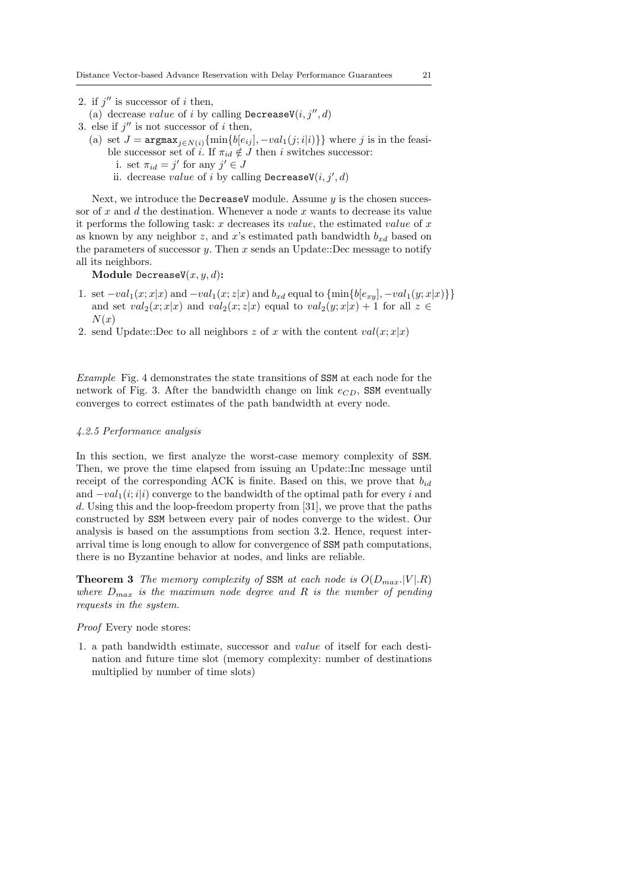2. if  $j''$  is successor of *i* then,

- (a) decrease *value* of *i* by calling  $\text{DecreaseV}(i, j'', d)$
- 3. else if  $j''$  is not successor of *i* then,
	- (a) set  $J = \argmax_{j \in N(i)} \{\min\{b[e_{ij}], -val_1(j; i|i)\}\}\}$  where *j* is in the feasible successor set of *i*. If  $\pi_{id} \notin J$  then *i* switches successor:
		- i. set  $\pi_{id} = j'$  for any  $j' \in J$
		- ii. decrease *value* of *i* by calling  $\text{DecreaseV}(i, j', d)$

Next, we introduce the DecreaseV module. Assume *y* is the chosen successor of *x* and *d* the destination. Whenever a node *x* wants to decrease its value it performs the following task: *x* decreases its *value*, the estimated *value* of *x* as known by any neighbor *z*, and *x*'s estimated path bandwidth  $b_{xd}$  based on the parameters of successor *y*. Then *x* sends an Update::Dec message to notify all its neighbors.

**Module** DecreaseV(*x, y, d*)**:**

- 1. set  $-val_1(x;x|x)$  and  $-val_1(x;z|x)$  and  $b_{xd}$  equal to  $\{\min\{b[e_{xy}], -val_1(y;x|x)\}\}\$ and set  $val_2(x; x|x)$  and  $val_2(x; z|x)$  equal to  $val_2(y; x|x) + 1$  for all  $z \in$ *N*(*x*)
- 2. send Update::Dec to all neighbors  $z$  of  $x$  with the content  $val(x; x|x)$

*Example* Fig. 4 demonstrates the state transitions of SSM at each node for the network of Fig. 3. After the bandwidth change on link  $e_{CD}$ , SSM eventually converges to correct estimates of the path bandwidth at every node.

# *4.2.5 Performance analysis*

In this section, we first analyze the worst-case memory complexity of SSM. Then, we prove the time elapsed from issuing an Update::Inc message until receipt of the corresponding ACK is finite. Based on this, we prove that  $b_{id}$ and *−val*1(*i*;*i|i*) converge to the bandwidth of the optimal path for every *i* and *d*. Using this and the loop-freedom property from [31], we prove that the paths constructed by SSM between every pair of nodes converge to the widest. Our analysis is based on the assumptions from section 3.2. Hence, request interarrival time is long enough to allow for convergence of SSM path computations, there is no Byzantine behavior at nodes, and links are reliable.

**Theorem 3** *The memory complexity of* SSM *at each node is*  $O(D_{max}$ *.* $|V|$ *.R*) *where Dmax is the maximum node degree and R is the number of pending requests in the system.*

# *Proof* Every node stores:

1. a path bandwidth estimate, successor and *value* of itself for each destination and future time slot (memory complexity: number of destinations multiplied by number of time slots)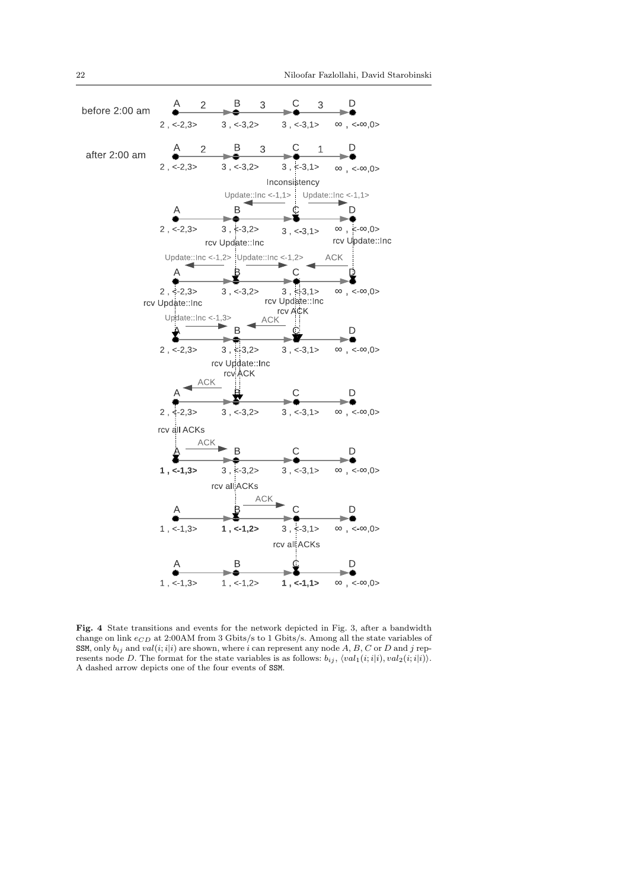

**Fig. 4** State transitions and events for the network depicted in Fig. 3, after a bandwidth change on link  $e_{CD}$  at 2:00AM from 3 Gbits/s to 1 Gbits/s. Among all the state variables of SSM, only  $b_{ij}$  and  $val(i; i|i)$  are shown, where *i* can represent any node *A*, *B*, *C* or *D* and *j* represents node *D*. The format for the state variables is as follows:  $b_{ij}$ ,  $\langle val_1(i, i|i), val_2(i, i|i) \rangle$ . A dashed arrow depicts one of the four events of SSM.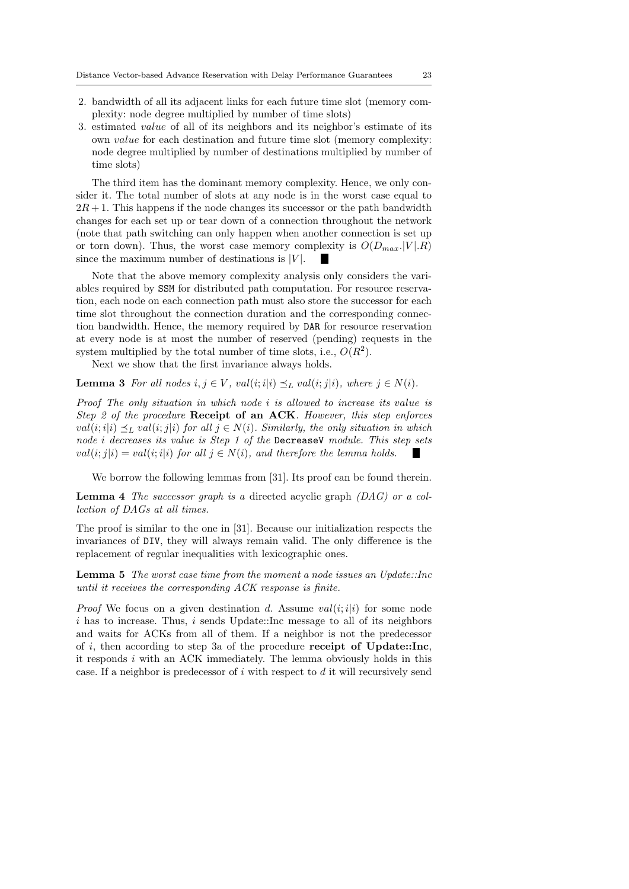- 2. bandwidth of all its adjacent links for each future time slot (memory complexity: node degree multiplied by number of time slots)
- 3. estimated *value* of all of its neighbors and its neighbor's estimate of its own *value* for each destination and future time slot (memory complexity: node degree multiplied by number of destinations multiplied by number of time slots)

The third item has the dominant memory complexity. Hence, we only consider it. The total number of slots at any node is in the worst case equal to  $2R + 1$ . This happens if the node changes its successor or the path bandwidth changes for each set up or tear down of a connection throughout the network (note that path switching can only happen when another connection is set up or torn down). Thus, the worst case memory complexity is  $O(D_{max}.|V|R)$ since the maximum number of destinations is  $|V|$ . **The State** 

Note that the above memory complexity analysis only considers the variables required by SSM for distributed path computation. For resource reservation, each node on each connection path must also store the successor for each time slot throughout the connection duration and the corresponding connection bandwidth. Hence, the memory required by DAR for resource reservation at every node is at most the number of reserved (pending) requests in the system multiplied by the total number of time slots, i.e.,  $O(R^2)$ .

Next we show that the first invariance always holds.

**Lemma 3** For all nodes  $i, j \in V$ ,  $val(i; i|i) \preceq_L val(i; j|i)$ , where  $j \in N(i)$ .

*Proof The only situation in which node i is allowed to increase its value is Step 2 of the procedure* **Receipt of an ACK***. However, this step enforces val*( $i$ ;  $i|$  $i$ )  $≤$ <sub>*L*</sub>  $val$ ( $i$ ;  $j|$  $i$ )  $for$  all  $j ∈ N$ ( $i$ ). Similarly, the only situation in which *node i decreases its value is Step 1 of the* DecreaseV *module. This step sets*  $val(i; j|i) = val(i; i|i)$  *for all*  $j \in N(i)$ *, and therefore the lemma holds.* 

We borrow the following lemmas from [31]. Its proof can be found therein.

**Lemma 4** *The successor graph is a* directed acyclic graph *(DAG) or a collection of DAGs at all times.*

The proof is similar to the one in [31]. Because our initialization respects the invariances of DIV, they will always remain valid. The only difference is the replacement of regular inequalities with lexicographic ones.

**Lemma 5** *The worst case time from the moment a node issues an Update::Inc until it receives the corresponding ACK response is finite.*

*Proof* We focus on a given destination *d*. Assume  $val(i; i|i)$  for some node *i* has to increase. Thus, *i* sends Update::Inc message to all of its neighbors and waits for ACKs from all of them. If a neighbor is not the predecessor of *i*, then according to step 3a of the procedure **receipt of Update::Inc**, it responds *i* with an ACK immediately. The lemma obviously holds in this case. If a neighbor is predecessor of *i* with respect to *d* it will recursively send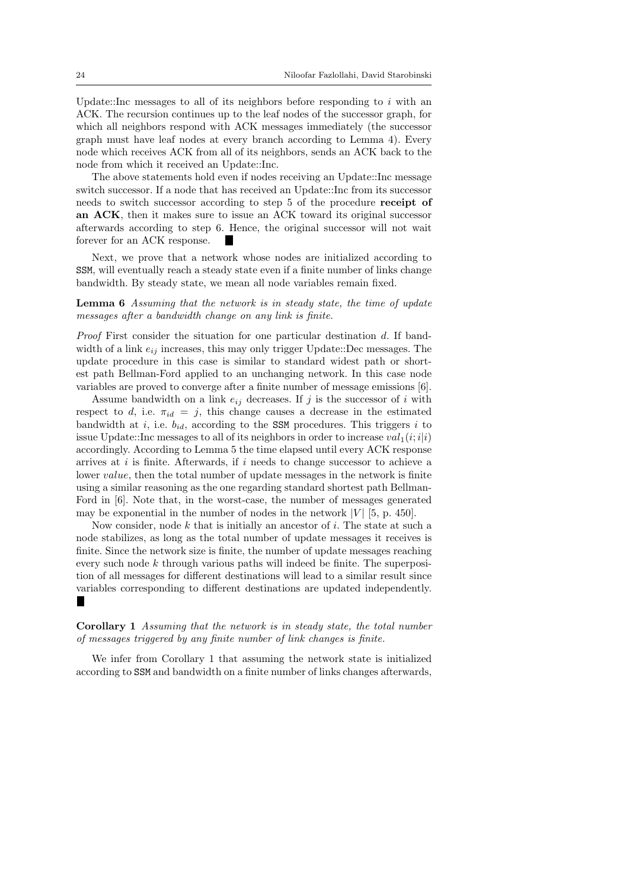Update::Inc messages to all of its neighbors before responding to *i* with an ACK. The recursion continues up to the leaf nodes of the successor graph, for which all neighbors respond with ACK messages immediately (the successor graph must have leaf nodes at every branch according to Lemma 4). Every node which receives ACK from all of its neighbors, sends an ACK back to the node from which it received an Update::Inc.

The above statements hold even if nodes receiving an Update::Inc message switch successor. If a node that has received an Update::Inc from its successor needs to switch successor according to step 5 of the procedure **receipt of an ACK**, then it makes sure to issue an ACK toward its original successor afterwards according to step 6. Hence, the original successor will not wait forever for an ACK response.

Next, we prove that a network whose nodes are initialized according to SSM, will eventually reach a steady state even if a finite number of links change bandwidth. By steady state, we mean all node variables remain fixed.

**Lemma 6** *Assuming that the network is in steady state, the time of update messages after a bandwidth change on any link is finite.*

*Proof* First consider the situation for one particular destination *d*. If bandwidth of a link  $e_{ij}$  increases, this may only trigger Update::Dec messages. The update procedure in this case is similar to standard widest path or shortest path Bellman-Ford applied to an unchanging network. In this case node variables are proved to converge after a finite number of message emissions [6].

Assume bandwidth on a link  $e_{ij}$  decreases. If  $j$  is the successor of  $i$  with respect to *d*, i.e.  $\pi_{id} = j$ , this change causes a decrease in the estimated bandwidth at *i*, i.e. *bid*, according to the SSM procedures. This triggers *i* to issue Update::Inc messages to all of its neighbors in order to increase  $val_1(i; i|i)$ accordingly. According to Lemma 5 the time elapsed until every ACK response arrives at *i* is finite. Afterwards, if *i* needs to change successor to achieve a lower *value*, then the total number of update messages in the network is finite using a similar reasoning as the one regarding standard shortest path Bellman-Ford in [6]. Note that, in the worst-case, the number of messages generated may be exponential in the number of nodes in the network  $|V|$  [5, p. 450].

Now consider, node *k* that is initially an ancestor of *i*. The state at such a node stabilizes, as long as the total number of update messages it receives is finite. Since the network size is finite, the number of update messages reaching every such node *k* through various paths will indeed be finite. The superposition of all messages for different destinations will lead to a similar result since variables corresponding to different destinations are updated independently. п

**Corollary 1** *Assuming that the network is in steady state, the total number of messages triggered by any finite number of link changes is finite.*

We infer from Corollary 1 that assuming the network state is initialized according to SSM and bandwidth on a finite number of links changes afterwards,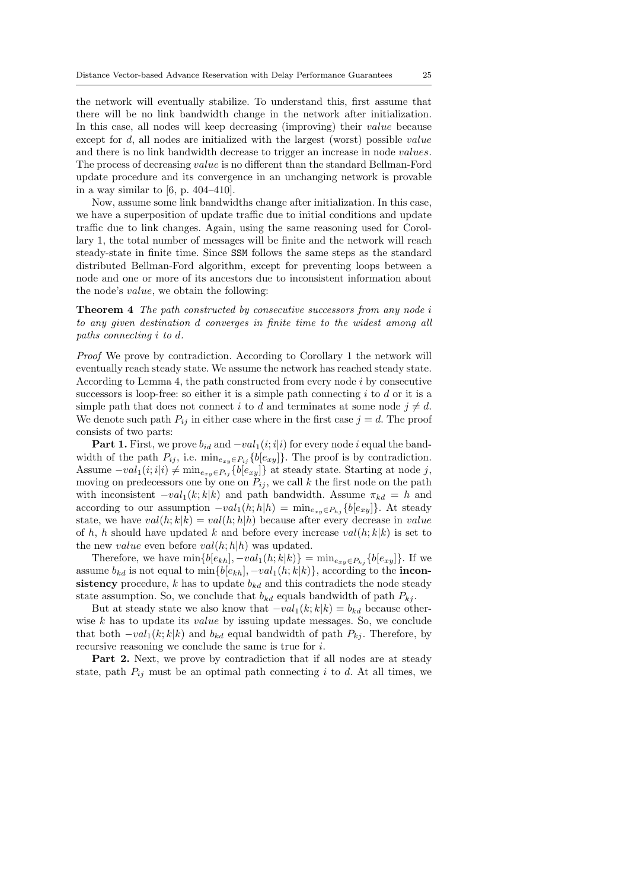the network will eventually stabilize. To understand this, first assume that there will be no link bandwidth change in the network after initialization. In this case, all nodes will keep decreasing (improving) their *value* because except for *d*, all nodes are initialized with the largest (worst) possible *value* and there is no link bandwidth decrease to trigger an increase in node *values*. The process of decreasing *value* is no different than the standard Bellman-Ford update procedure and its convergence in an unchanging network is provable in a way similar to  $[6, p. 404-410]$ .

Now, assume some link bandwidths change after initialization. In this case, we have a superposition of update traffic due to initial conditions and update traffic due to link changes. Again, using the same reasoning used for Corollary 1, the total number of messages will be finite and the network will reach steady-state in finite time. Since SSM follows the same steps as the standard distributed Bellman-Ford algorithm, except for preventing loops between a node and one or more of its ancestors due to inconsistent information about the node's *value*, we obtain the following:

**Theorem 4** *The path constructed by consecutive successors from any node i to any given destination d converges in finite time to the widest among all paths connecting i to d.*

*Proof* We prove by contradiction. According to Corollary 1 the network will eventually reach steady state. We assume the network has reached steady state. According to Lemma 4, the path constructed from every node *i* by consecutive successors is loop-free: so either it is a simple path connecting *i* to *d* or it is a simple path that does not connect *i* to *d* and terminates at some node  $j \neq d$ . We denote such path  $P_{ij}$  in either case where in the first case  $j = d$ . The proof consists of two parts:

**Part 1.** First, we prove  $b_{id}$  and  $-\nu a l_1(i; i|i)$  for every node *i* equal the bandwidth of the path  $P_{ij}$ , i.e.  $\min_{e_{xy} \in P_{ij}} {\{b[e_{xy}]\}}$ . The proof is by contradiction. Assume  $\n- val_1(i; i|i) \neq \min_{e_{xy} \in P_{ij}} {b[e_{xy}]}$  at steady state. Starting at node *j*, moving on predecessors one by one on  $P_{ij}$ , we call  $k$  the first node on the path with inconsistent  $-\nu a l_1(k; k|k)$  and path bandwidth. Assume  $\pi_{kd} = h$  and according to our assumption  $-\nu a l_1(h; h|h) = \min_{e_{xy} \in P_{hj}} \{b[e_{xy}]\}.$  At steady state, we have  $val(h; k|k) = val(h; h|h)$  because after every decrease in *value* of *h*, *h* should have updated *k* and before every increase  $val(h; k|k)$  is set to the new *value* even before  $val(h; h|h)$  was updated.

Therefore, we have  $\min\{b[e_{kh}], -val_1(h;k|k)\} = \min_{e_{xy}\in P_{kj}}\{b[e_{xy}]\}.$  If we assume  $b_{kd}$  is not equal to min $\{b[e_{kh}], -val_1(h; k|k)\}$ , according to the **inconsistency** procedure,  $k$  has to update  $b_{kd}$  and this contradicts the node steady state assumption. So, we conclude that  $b_{kd}$  equals bandwidth of path  $P_{kj}$ .

But at steady state we also know that  $-\nu a l_1(k; k|k) = b_{kd}$  because otherwise *k* has to update its *value* by issuing update messages. So, we conclude that both  $-\nu a l_1(k; k|k)$  and  $b_{kd}$  equal bandwidth of path  $P_{kj}$ . Therefore, by recursive reasoning we conclude the same is true for *i*.

**Part 2.** Next, we prove by contradiction that if all nodes are at steady state, path  $P_{ij}$  must be an optimal path connecting *i* to *d*. At all times, we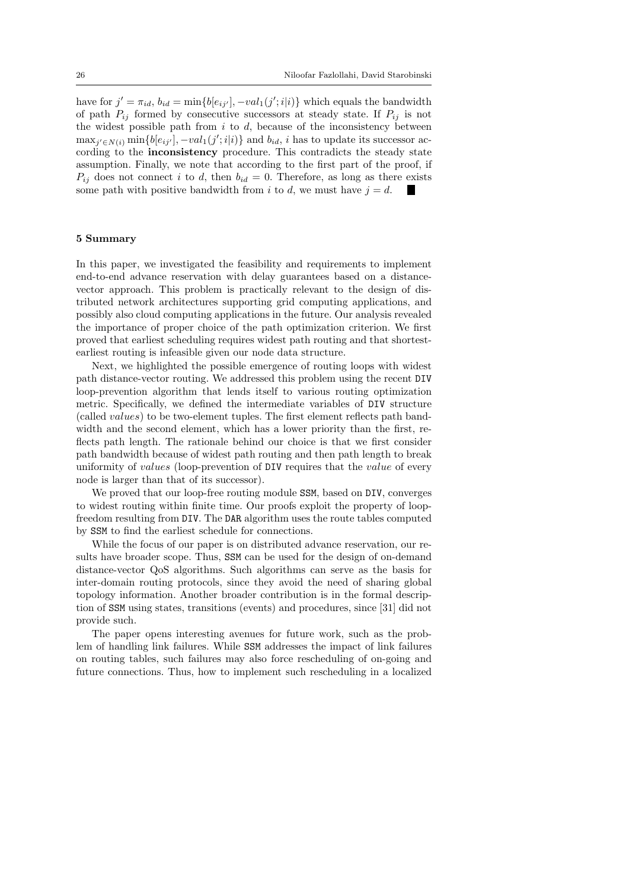have for  $j' = \pi_{id}$ ,  $b_{id} = \min\{b[e_{ij'}], -val_1(j';i|i)\}$  which equals the bandwidth of path  $P_{ij}$  formed by consecutive successors at steady state. If  $P_{ij}$  is not the widest possible path from *i* to *d*, because of the inconsistency between  $\max_{j' \in N(i)} \min\{b[e_{ij'}], -val_1(j';i|i)\}\$ and  $b_{id}, i$  has to update its successor according to the **inconsistency** procedure. This contradicts the steady state assumption. Finally, we note that according to the first part of the proof, if  $P_{ij}$  does not connect *i* to *d*, then  $b_{id} = 0$ . Therefore, as long as there exists some path with positive bandwidth from *i* to *d*, we must have  $j = d$ .

#### **5 Summary**

In this paper, we investigated the feasibility and requirements to implement end-to-end advance reservation with delay guarantees based on a distancevector approach. This problem is practically relevant to the design of distributed network architectures supporting grid computing applications, and possibly also cloud computing applications in the future. Our analysis revealed the importance of proper choice of the path optimization criterion. We first proved that earliest scheduling requires widest path routing and that shortestearliest routing is infeasible given our node data structure.

Next, we highlighted the possible emergence of routing loops with widest path distance-vector routing. We addressed this problem using the recent DIV loop-prevention algorithm that lends itself to various routing optimization metric. Specifically, we defined the intermediate variables of DIV structure (called *values*) to be two-element tuples. The first element reflects path bandwidth and the second element, which has a lower priority than the first, reflects path length. The rationale behind our choice is that we first consider path bandwidth because of widest path routing and then path length to break uniformity of *values* (loop-prevention of DIV requires that the *value* of every node is larger than that of its successor).

We proved that our loop-free routing module SSM, based on DIV, converges to widest routing within finite time. Our proofs exploit the property of loopfreedom resulting from DIV. The DAR algorithm uses the route tables computed by SSM to find the earliest schedule for connections.

While the focus of our paper is on distributed advance reservation, our results have broader scope. Thus, SSM can be used for the design of on-demand distance-vector QoS algorithms. Such algorithms can serve as the basis for inter-domain routing protocols, since they avoid the need of sharing global topology information. Another broader contribution is in the formal description of SSM using states, transitions (events) and procedures, since [31] did not provide such.

The paper opens interesting avenues for future work, such as the problem of handling link failures. While SSM addresses the impact of link failures on routing tables, such failures may also force rescheduling of on-going and future connections. Thus, how to implement such rescheduling in a localized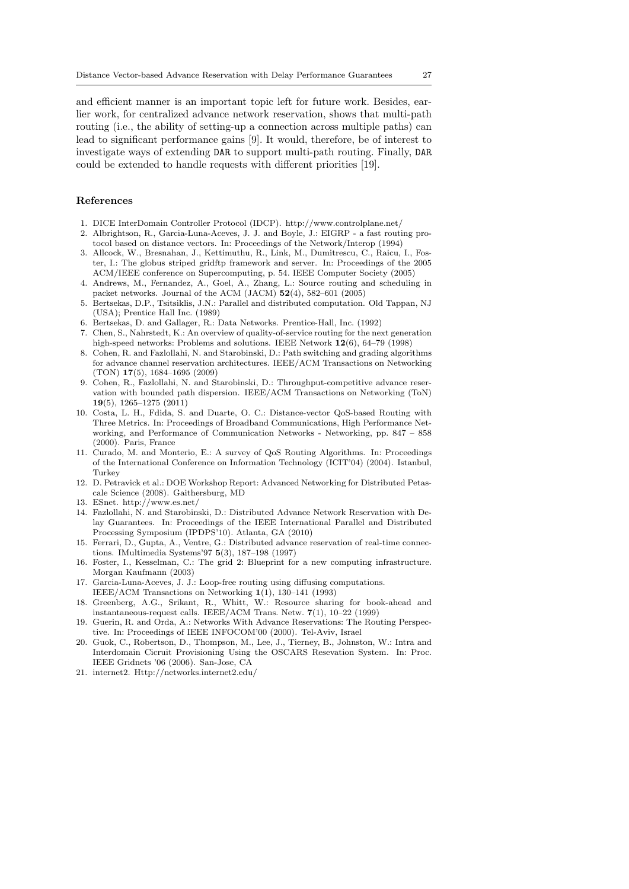and efficient manner is an important topic left for future work. Besides, earlier work, for centralized advance network reservation, shows that multi-path routing (i.e., the ability of setting-up a connection across multiple paths) can lead to significant performance gains [9]. It would, therefore, be of interest to investigate ways of extending DAR to support multi-path routing. Finally, DAR could be extended to handle requests with different priorities [19].

# **References**

- 1. DICE InterDomain Controller Protocol (IDCP). http://www.controlplane.net/
- 2. Albrightson, R., Garcia-Luna-Aceves, J. J. and Boyle, J.: EIGRP a fast routing protocol based on distance vectors. In: Proceedings of the Network/Interop (1994)
- 3. Allcock, W., Bresnahan, J., Kettimuthu, R., Link, M., Dumitrescu, C., Raicu, I., Foster, I.: The globus striped gridftp framework and server. In: Proceedings of the 2005 ACM/IEEE conference on Supercomputing, p. 54. IEEE Computer Society (2005)
- 4. Andrews, M., Fernandez, A., Goel, A., Zhang, L.: Source routing and scheduling in packet networks. Journal of the ACM (JACM) **52**(4), 582–601 (2005)
- 5. Bertsekas, D.P., Tsitsiklis, J.N.: Parallel and distributed computation. Old Tappan, NJ (USA); Prentice Hall Inc. (1989)
- 6. Bertsekas, D. and Gallager, R.: Data Networks. Prentice-Hall, Inc. (1992)
- 7. Chen, S., Nahrstedt, K.: An overview of quality-of-service routing for the next generation high-speed networks: Problems and solutions. IEEE Network **12**(6), 64–79 (1998)
- 8. Cohen, R. and Fazlollahi, N. and Starobinski, D.: Path switching and grading algorithms for advance channel reservation architectures. IEEE/ACM Transactions on Networking (TON) **17**(5), 1684–1695 (2009)
- 9. Cohen, R., Fazlollahi, N. and Starobinski, D.: Throughput-competitive advance reservation with bounded path dispersion. IEEE/ACM Transactions on Networking (ToN) **19**(5), 1265–1275 (2011)
- 10. Costa, L. H., Fdida, S. and Duarte, O. C.: Distance-vector QoS-based Routing with Three Metrics. In: Proceedings of Broadband Communications, High Performance Networking, and Performance of Communication Networks - Networking, pp. 847 – 858 (2000). Paris, France
- 11. Curado, M. and Monterio, E.: A survey of QoS Routing Algorithms. In: Proceedings of the International Conference on Information Technology (ICIT'04) (2004). Istanbul, Turkey
- 12. D. Petravick et al.: DOE Workshop Report: Advanced Networking for Distributed Petascale Science (2008). Gaithersburg, MD
- 13. ESnet. http://www.es.net/
- 14. Fazlollahi, N. and Starobinski, D.: Distributed Advance Network Reservation with Delay Guarantees. In: Proceedings of the IEEE International Parallel and Distributed Processing Symposium (IPDPS'10). Atlanta, GA (2010)
- 15. Ferrari, D., Gupta, A., Ventre, G.: Distributed advance reservation of real-time connections. IMultimedia Systems'97 **5**(3), 187–198 (1997)
- 16. Foster, I., Kesselman, C.: The grid 2: Blueprint for a new computing infrastructure. Morgan Kaufmann (2003)
- 17. Garcia-Luna-Aceves, J. J.: Loop-free routing using diffusing computations.
- IEEE/ACM Transactions on Networking **1**(1), 130–141 (1993)
- 18. Greenberg, A.G., Srikant, R., Whitt, W.: Resource sharing for book-ahead and instantaneous-request calls. IEEE/ACM Trans. Netw. **7**(1), 10–22 (1999)
- 19. Guerin, R. and Orda, A.: Networks With Advance Reservations: The Routing Perspective. In: Proceedings of IEEE INFOCOM'00 (2000). Tel-Aviv, Israel
- 20. Guok, C., Robertson, D., Thompson, M., Lee, J., Tierney, B., Johnston, W.: Intra and Interdomain Cicruit Provisioning Using the OSCARS Resevation System. In: Proc. IEEE Gridnets '06 (2006). San-Jose, CA
- 21. internet2. Http://networks.internet2.edu/